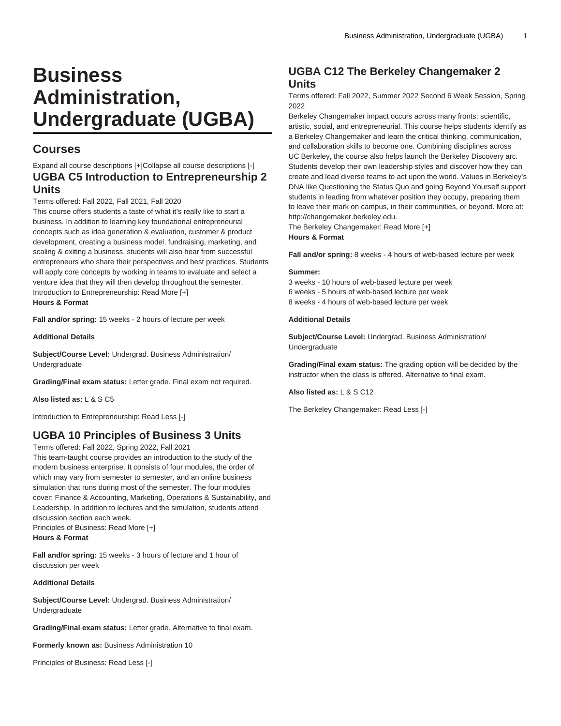# **Business Administration, Undergraduate (UGBA)**

# **Courses**

### Expand all course descriptions [+]Collapse all course descriptions [-] **UGBA C5 Introduction to Entrepreneurship 2 Units**

### Terms offered: Fall 2022, Fall 2021, Fall 2020

This course offers students a taste of what it's really like to start a business. In addition to learning key foundational entrepreneurial concepts such as idea generation & evaluation, customer & product development, creating a business model, fundraising, marketing, and scaling & exiting a business, students will also hear from successful entrepreneurs who share their perspectives and best practices. Students will apply core concepts by working in teams to evaluate and select a venture idea that they will then develop throughout the semester. Introduction to Entrepreneurship: Read More [+] **Hours & Format**

**Fall and/or spring:** 15 weeks - 2 hours of lecture per week

**Additional Details**

**Subject/Course Level:** Undergrad. Business Administration/ Undergraduate

**Grading/Final exam status:** Letter grade. Final exam not required.

**Also listed as:** L & S C5

Introduction to Entrepreneurship: Read Less [-]

# **UGBA 10 Principles of Business 3 Units**

Terms offered: Fall 2022, Spring 2022, Fall 2021

This team-taught course provides an introduction to the study of the modern business enterprise. It consists of four modules, the order of which may vary from semester to semester, and an online business simulation that runs during most of the semester. The four modules cover: Finance & Accounting, Marketing, Operations & Sustainability, and Leadership. In addition to lectures and the simulation, students attend discussion section each week. Principles of Business: Read More [+]

**Hours & Format**

**Fall and/or spring:** 15 weeks - 3 hours of lecture and 1 hour of discussion per week

### **Additional Details**

**Subject/Course Level:** Undergrad. Business Administration/ Undergraduate

**Grading/Final exam status:** Letter grade. Alternative to final exam.

**Formerly known as:** Business Administration 10

Principles of Business: Read Less [-]

# **UGBA C12 The Berkeley Changemaker 2 Units**

Terms offered: Fall 2022, Summer 2022 Second 6 Week Session, Spring 2022

Berkeley Changemaker impact occurs across many fronts: scientific, artistic, social, and entrepreneurial. This course helps students identify as a Berkeley Changemaker and learn the critical thinking, communication, and collaboration skills to become one. Combining disciplines across UC Berkeley, the course also helps launch the Berkeley Discovery arc. Students develop their own leadership styles and discover how they can create and lead diverse teams to act upon the world. Values in Berkeley's DNA like Questioning the Status Quo and going Beyond Yourself support students in leading from whatever position they occupy, preparing them to leave their mark on campus, in their communities, or beyond. More at: http://changemaker.berkeley.edu.

The Berkeley Changemaker: Read More [+]

### **Hours & Format**

**Fall and/or spring:** 8 weeks - 4 hours of web-based lecture per week

#### **Summer:**

3 weeks - 10 hours of web-based lecture per week 6 weeks - 5 hours of web-based lecture per week 8 weeks - 4 hours of web-based lecture per week

#### **Additional Details**

**Subject/Course Level:** Undergrad. Business Administration/ Undergraduate

**Grading/Final exam status:** The grading option will be decided by the instructor when the class is offered. Alternative to final exam.

**Also listed as:** L & S C12

The Berkeley Changemaker: Read Less [-]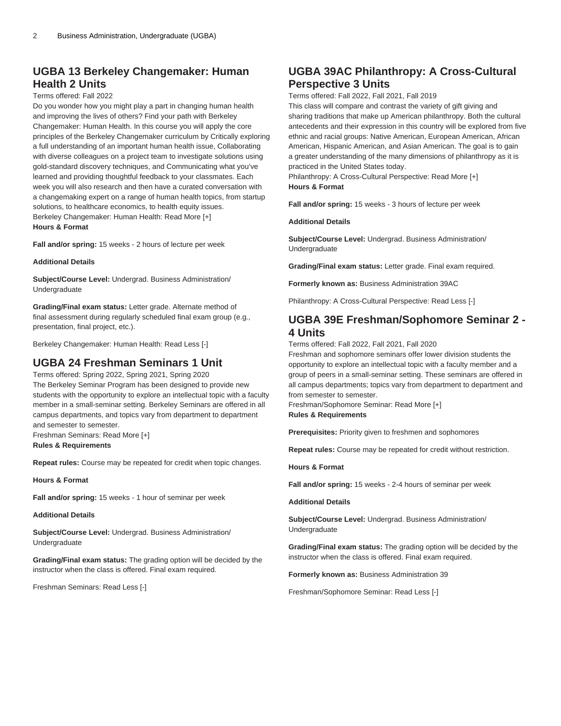# **UGBA 13 Berkeley Changemaker: Human Health 2 Units**

### Terms offered: Fall 2022

Do you wonder how you might play a part in changing human health and improving the lives of others? Find your path with Berkeley Changemaker: Human Health. In this course you will apply the core principles of the Berkeley Changemaker curriculum by Critically exploring a full understanding of an important human health issue, Collaborating with diverse colleagues on a project team to investigate solutions using gold-standard discovery techniques, and Communicating what you've learned and providing thoughtful feedback to your classmates. Each week you will also research and then have a curated conversation with a changemaking expert on a range of human health topics, from startup solutions, to healthcare economics, to health equity issues. Berkeley Changemaker: Human Health: Read More [+] **Hours & Format**

**Fall and/or spring:** 15 weeks - 2 hours of lecture per week

#### **Additional Details**

**Subject/Course Level:** Undergrad. Business Administration/ Undergraduate

**Grading/Final exam status:** Letter grade. Alternate method of final assessment during regularly scheduled final exam group (e.g., presentation, final project, etc.).

Berkeley Changemaker: Human Health: Read Less [-]

### **UGBA 24 Freshman Seminars 1 Unit**

Terms offered: Spring 2022, Spring 2021, Spring 2020 The Berkeley Seminar Program has been designed to provide new students with the opportunity to explore an intellectual topic with a faculty member in a small-seminar setting. Berkeley Seminars are offered in all campus departments, and topics vary from department to department and semester to semester.

Freshman Seminars: Read More [+]

**Rules & Requirements**

**Repeat rules:** Course may be repeated for credit when topic changes.

**Hours & Format**

**Fall and/or spring:** 15 weeks - 1 hour of seminar per week

### **Additional Details**

**Subject/Course Level:** Undergrad. Business Administration/ Undergraduate

**Grading/Final exam status:** The grading option will be decided by the instructor when the class is offered. Final exam required.

Freshman Seminars: Read Less [-]

# **UGBA 39AC Philanthropy: A Cross-Cultural Perspective 3 Units**

Terms offered: Fall 2022, Fall 2021, Fall 2019

This class will compare and contrast the variety of gift giving and sharing traditions that make up American philanthropy. Both the cultural antecedents and their expression in this country will be explored from five ethnic and racial groups: Native American, European American, African American, Hispanic American, and Asian American. The goal is to gain a greater understanding of the many dimensions of philanthropy as it is practiced in the United States today.

Philanthropy: A Cross-Cultural Perspective: Read More [+] **Hours & Format**

**Fall and/or spring:** 15 weeks - 3 hours of lecture per week

**Additional Details**

**Subject/Course Level:** Undergrad. Business Administration/ Undergraduate

**Grading/Final exam status:** Letter grade. Final exam required.

**Formerly known as:** Business Administration 39AC

Philanthropy: A Cross-Cultural Perspective: Read Less [-]

### **UGBA 39E Freshman/Sophomore Seminar 2 - 4 Units**

Terms offered: Fall 2022, Fall 2021, Fall 2020

Freshman and sophomore seminars offer lower division students the opportunity to explore an intellectual topic with a faculty member and a group of peers in a small-seminar setting. These seminars are offered in all campus departments; topics vary from department to department and from semester to semester.

Freshman/Sophomore Seminar: Read More [+] **Rules & Requirements**

**Prerequisites:** Priority given to freshmen and sophomores

**Repeat rules:** Course may be repeated for credit without restriction.

**Hours & Format**

**Fall and/or spring:** 15 weeks - 2-4 hours of seminar per week

**Additional Details**

**Subject/Course Level:** Undergrad. Business Administration/ Undergraduate

**Grading/Final exam status:** The grading option will be decided by the instructor when the class is offered. Final exam required.

**Formerly known as:** Business Administration 39

Freshman/Sophomore Seminar: Read Less [-]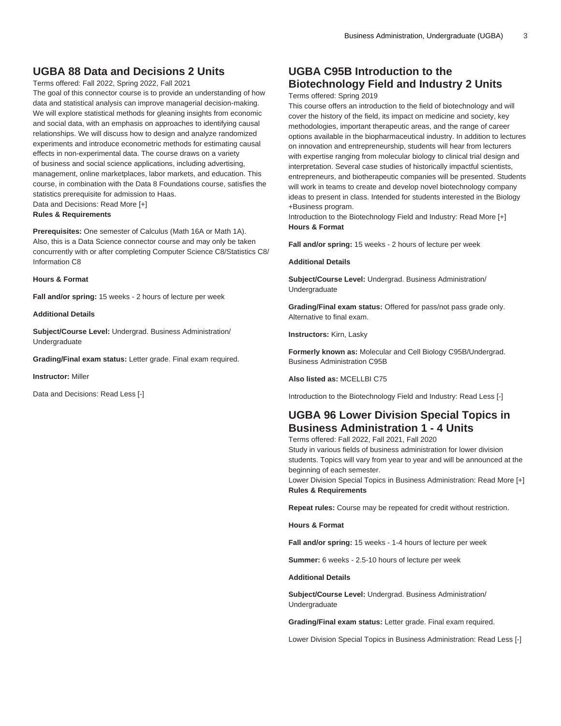# **UGBA 88 Data and Decisions 2 Units**

Terms offered: Fall 2022, Spring 2022, Fall 2021

The goal of this connector course is to provide an understanding of how data and statistical analysis can improve managerial decision-making. We will explore statistical methods for gleaning insights from economic and social data, with an emphasis on approaches to identifying causal relationships. We will discuss how to design and analyze randomized experiments and introduce econometric methods for estimating causal effects in non-experimental data. The course draws on a variety of business and social science applications, including advertising, management, online marketplaces, labor markets, and education. This course, in combination with the Data 8 Foundations course, satisfies the statistics prerequisite for admission to Haas. Data and Decisions: Read More [+]

**Rules & Requirements**

**Prerequisites:** One semester of Calculus (Math 16A or Math 1A). Also, this is a Data Science connector course and may only be taken concurrently with or after completing Computer Science C8/Statistics C8/ Information C8

### **Hours & Format**

**Fall and/or spring:** 15 weeks - 2 hours of lecture per week

#### **Additional Details**

**Subject/Course Level:** Undergrad. Business Administration/ Undergraduate

**Grading/Final exam status:** Letter grade. Final exam required.

**Instructor:** Miller

Data and Decisions: Read Less [-]

# **UGBA C95B Introduction to the Biotechnology Field and Industry 2 Units**

Terms offered: Spring 2019

This course offers an introduction to the field of biotechnology and will cover the history of the field, its impact on medicine and society, key methodologies, important therapeutic areas, and the range of career options available in the biopharmaceutical industry. In addition to lectures on innovation and entrepreneurship, students will hear from lecturers with expertise ranging from molecular biology to clinical trial design and interpretation. Several case studies of historically impactful scientists, entrepreneurs, and biotherapeutic companies will be presented. Students will work in teams to create and develop novel biotechnology company ideas to present in class. Intended for students interested in the Biology +Business program.

Introduction to the Biotechnology Field and Industry: Read More [+] **Hours & Format**

**Fall and/or spring:** 15 weeks - 2 hours of lecture per week

### **Additional Details**

**Subject/Course Level:** Undergrad. Business Administration/ Undergraduate

**Grading/Final exam status:** Offered for pass/not pass grade only. Alternative to final exam.

**Instructors:** Kirn, Lasky

**Formerly known as:** Molecular and Cell Biology C95B/Undergrad. Business Administration C95B

**Also listed as:** MCELLBI C75

Introduction to the Biotechnology Field and Industry: Read Less [-]

### **UGBA 96 Lower Division Special Topics in Business Administration 1 - 4 Units**

Terms offered: Fall 2022, Fall 2021, Fall 2020 Study in various fields of business administration for lower division students. Topics will vary from year to year and will be announced at the beginning of each semester.

Lower Division Special Topics in Business Administration: Read More [+] **Rules & Requirements**

**Repeat rules:** Course may be repeated for credit without restriction.

**Hours & Format**

**Fall and/or spring:** 15 weeks - 1-4 hours of lecture per week

**Summer:** 6 weeks - 2.5-10 hours of lecture per week

**Additional Details**

**Subject/Course Level:** Undergrad. Business Administration/ Undergraduate

**Grading/Final exam status:** Letter grade. Final exam required.

Lower Division Special Topics in Business Administration: Read Less [-]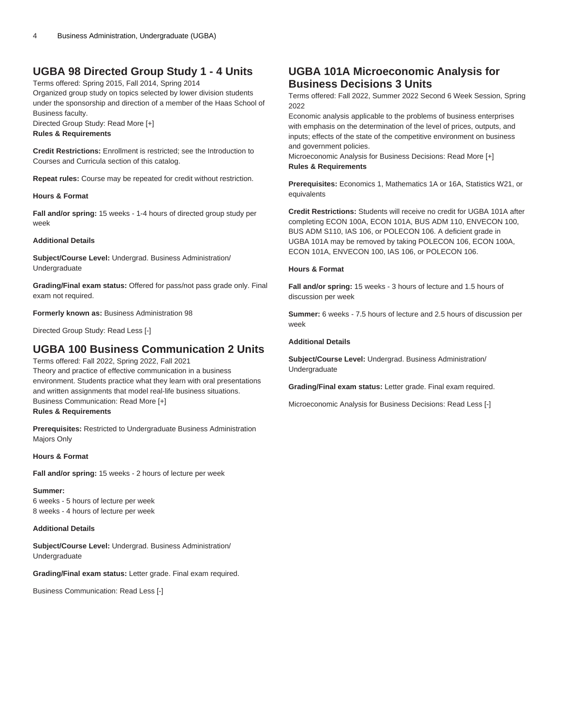# **UGBA 98 Directed Group Study 1 - 4 Units**

Terms offered: Spring 2015, Fall 2014, Spring 2014

Organized group study on topics selected by lower division students under the sponsorship and direction of a member of the Haas School of Business faculty.

Directed Group Study: Read More [+] **Rules & Requirements**

**Credit Restrictions:** Enrollment is restricted; see the Introduction to Courses and Curricula section of this catalog.

**Repeat rules:** Course may be repeated for credit without restriction.

### **Hours & Format**

**Fall and/or spring:** 15 weeks - 1-4 hours of directed group study per week

### **Additional Details**

**Subject/Course Level:** Undergrad. Business Administration/ Undergraduate

**Grading/Final exam status:** Offered for pass/not pass grade only. Final exam not required.

**Formerly known as:** Business Administration 98

Directed Group Study: Read Less [-]

# **UGBA 100 Business Communication 2 Units**

Terms offered: Fall 2022, Spring 2022, Fall 2021 Theory and practice of effective communication in a business environment. Students practice what they learn with oral presentations and written assignments that model real-life business situations. Business Communication: Read More [+]

**Rules & Requirements**

**Prerequisites:** Restricted to Undergraduate Business Administration Majors Only

### **Hours & Format**

**Fall and/or spring:** 15 weeks - 2 hours of lecture per week

**Summer:** 6 weeks - 5 hours of lecture per week

8 weeks - 4 hours of lecture per week

### **Additional Details**

**Subject/Course Level:** Undergrad. Business Administration/ Undergraduate

**Grading/Final exam status:** Letter grade. Final exam required.

Business Communication: Read Less [-]

## **UGBA 101A Microeconomic Analysis for Business Decisions 3 Units**

Terms offered: Fall 2022, Summer 2022 Second 6 Week Session, Spring 2022

Economic analysis applicable to the problems of business enterprises with emphasis on the determination of the level of prices, outputs, and inputs; effects of the state of the competitive environment on business and government policies.

Microeconomic Analysis for Business Decisions: Read More [+] **Rules & Requirements**

**Prerequisites:** Economics 1, Mathematics 1A or 16A, Statistics W21, or equivalents

**Credit Restrictions:** Students will receive no credit for [UGBA 101A](/search/?P=UGBA%20101A) after completing [ECON 100A,](/search/?P=ECON%20100A) [ECON 101A](/search/?P=ECON%20101A), BUS ADM 110, [ENVECON 100](/search/?P=ENVECON%20100), BUS ADM S110, [IAS 106](/search/?P=IAS%20106), or [POLECON 106.](/search/?P=POLECON%20106) A deficient grade in [UGBA 101A](/search/?P=UGBA%20101A) may be removed by taking [POLECON 106,](/search/?P=POLECON%20106) [ECON 100A,](/search/?P=ECON%20100A) [ECON 101A](/search/?P=ECON%20101A), [ENVECON 100,](/search/?P=ENVECON%20100) [IAS 106,](/search/?P=IAS%20106) or [POLECON 106.](/search/?P=POLECON%20106)

### **Hours & Format**

**Fall and/or spring:** 15 weeks - 3 hours of lecture and 1.5 hours of discussion per week

**Summer:** 6 weeks - 7.5 hours of lecture and 2.5 hours of discussion per week

### **Additional Details**

**Subject/Course Level:** Undergrad. Business Administration/ Undergraduate

**Grading/Final exam status:** Letter grade. Final exam required.

Microeconomic Analysis for Business Decisions: Read Less [-]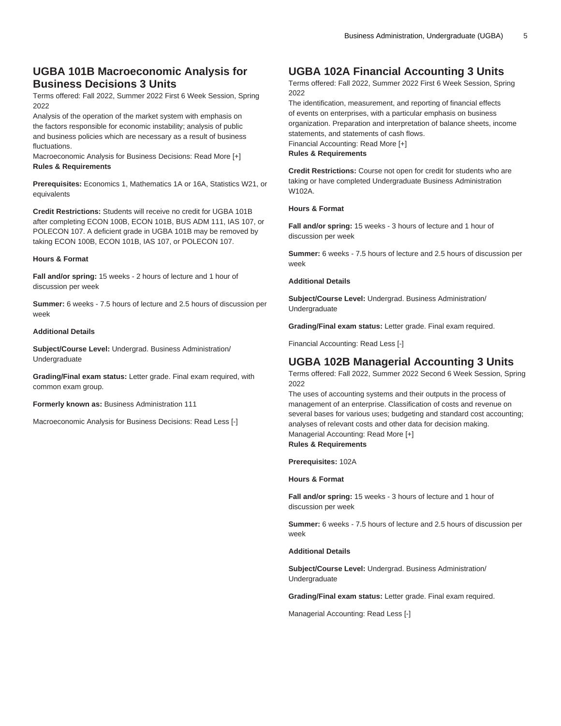# **UGBA 101B Macroeconomic Analysis for Business Decisions 3 Units**

Terms offered: Fall 2022, Summer 2022 First 6 Week Session, Spring 2022

Analysis of the operation of the market system with emphasis on the factors responsible for economic instability; analysis of public and business policies which are necessary as a result of business fluctuations.

Macroeconomic Analysis for Business Decisions: Read More [+] **Rules & Requirements**

**Prerequisites:** Economics 1, Mathematics 1A or 16A, Statistics W21, or equivalents

**Credit Restrictions:** Students will receive no credit for [UGBA 101B](/search/?P=UGBA%20101B) after completing [ECON 100B](/search/?P=ECON%20100B), [ECON 101B,](/search/?P=ECON%20101B) BUS ADM 111, [IAS 107,](/search/?P=IAS%20107) or [POLECON 107.](/search/?P=POLECON%20107) A deficient grade in [UGBA 101B](/search/?P=UGBA%20101B) may be removed by taking [ECON 100B,](/search/?P=ECON%20100B) [ECON 101B](/search/?P=ECON%20101B), [IAS 107,](/search/?P=IAS%20107) or [POLECON 107](/search/?P=POLECON%20107).

### **Hours & Format**

**Fall and/or spring:** 15 weeks - 2 hours of lecture and 1 hour of discussion per week

**Summer:** 6 weeks - 7.5 hours of lecture and 2.5 hours of discussion per week

### **Additional Details**

**Subject/Course Level:** Undergrad. Business Administration/ Undergraduate

**Grading/Final exam status:** Letter grade. Final exam required, with common exam group.

**Formerly known as:** Business Administration 111

Macroeconomic Analysis for Business Decisions: Read Less [-]

# **UGBA 102A Financial Accounting 3 Units**

Terms offered: Fall 2022, Summer 2022 First 6 Week Session, Spring 2022

The identification, measurement, and reporting of financial effects of events on enterprises, with a particular emphasis on business organization. Preparation and interpretation of balance sheets, income statements, and statements of cash flows. Financial Accounting: Read More [+] **Rules & Requirements**

**Credit Restrictions:** Course not open for credit for students who are taking or have completed Undergraduate Business Administration W102A.

### **Hours & Format**

**Fall and/or spring:** 15 weeks - 3 hours of lecture and 1 hour of discussion per week

**Summer:** 6 weeks - 7.5 hours of lecture and 2.5 hours of discussion per week

### **Additional Details**

**Subject/Course Level:** Undergrad. Business Administration/ Undergraduate

**Grading/Final exam status:** Letter grade. Final exam required.

Financial Accounting: Read Less [-]

### **UGBA 102B Managerial Accounting 3 Units**

Terms offered: Fall 2022, Summer 2022 Second 6 Week Session, Spring 2022

The uses of accounting systems and their outputs in the process of management of an enterprise. Classification of costs and revenue on several bases for various uses; budgeting and standard cost accounting; analyses of relevant costs and other data for decision making. Managerial Accounting: Read More [+] **Rules & Requirements**

**Prerequisites:** 102A

**Hours & Format**

**Fall and/or spring:** 15 weeks - 3 hours of lecture and 1 hour of discussion per week

**Summer:** 6 weeks - 7.5 hours of lecture and 2.5 hours of discussion per week

### **Additional Details**

**Subject/Course Level:** Undergrad. Business Administration/ Undergraduate

**Grading/Final exam status:** Letter grade. Final exam required.

Managerial Accounting: Read Less [-]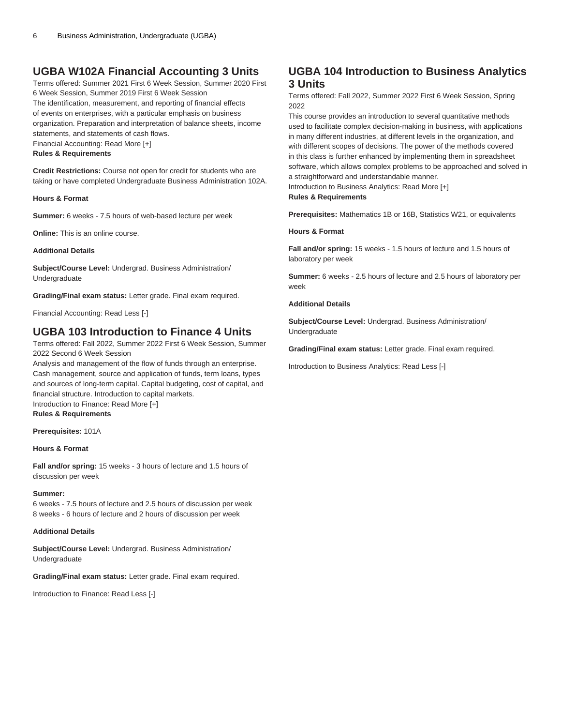# **UGBA W102A Financial Accounting 3 Units**

Terms offered: Summer 2021 First 6 Week Session, Summer 2020 First 6 Week Session, Summer 2019 First 6 Week Session The identification, measurement, and reporting of financial effects of events on enterprises, with a particular emphasis on business organization. Preparation and interpretation of balance sheets, income statements, and statements of cash flows. Financial Accounting: Read More [+]

**Rules & Requirements**

**Credit Restrictions:** Course not open for credit for students who are taking or have completed Undergraduate Business Administration 102A.

### **Hours & Format**

**Summer:** 6 weeks - 7.5 hours of web-based lecture per week

**Online:** This is an online course.

### **Additional Details**

**Subject/Course Level:** Undergrad. Business Administration/ Undergraduate

**Grading/Final exam status:** Letter grade. Final exam required.

Financial Accounting: Read Less [-]

### **UGBA 103 Introduction to Finance 4 Units**

Terms offered: Fall 2022, Summer 2022 First 6 Week Session, Summer 2022 Second 6 Week Session

Analysis and management of the flow of funds through an enterprise. Cash management, source and application of funds, term loans, types and sources of long-term capital. Capital budgeting, cost of capital, and financial structure. Introduction to capital markets. Introduction to Finance: Read More [+]

**Rules & Requirements**

**Prerequisites:** 101A

### **Hours & Format**

**Fall and/or spring:** 15 weeks - 3 hours of lecture and 1.5 hours of discussion per week

#### **Summer:**

6 weeks - 7.5 hours of lecture and 2.5 hours of discussion per week 8 weeks - 6 hours of lecture and 2 hours of discussion per week

### **Additional Details**

**Subject/Course Level:** Undergrad. Business Administration/ Undergraduate

**Grading/Final exam status:** Letter grade. Final exam required.

Introduction to Finance: Read Less [-]

# **UGBA 104 Introduction to Business Analytics 3 Units**

Terms offered: Fall 2022, Summer 2022 First 6 Week Session, Spring 2022

This course provides an introduction to several quantitative methods used to facilitate complex decision-making in business, with applications in many different industries, at different levels in the organization, and with different scopes of decisions. The power of the methods covered in this class is further enhanced by implementing them in spreadsheet software, which allows complex problems to be approached and solved in a straightforward and understandable manner.

Introduction to Business Analytics: Read More [+] **Rules & Requirements**

**Prerequisites:** Mathematics 1B or 16B, Statistics W21, or equivalents

**Hours & Format**

**Fall and/or spring:** 15 weeks - 1.5 hours of lecture and 1.5 hours of laboratory per week

**Summer:** 6 weeks - 2.5 hours of lecture and 2.5 hours of laboratory per week

### **Additional Details**

**Subject/Course Level:** Undergrad. Business Administration/ Undergraduate

**Grading/Final exam status:** Letter grade. Final exam required.

Introduction to Business Analytics: Read Less [-]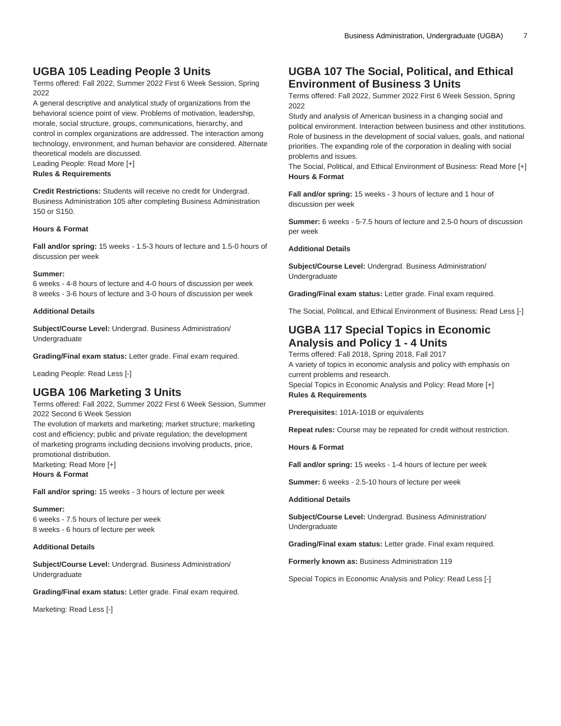# **UGBA 105 Leading People 3 Units**

Terms offered: Fall 2022, Summer 2022 First 6 Week Session, Spring 2022

A general descriptive and analytical study of organizations from the behavioral science point of view. Problems of motivation, leadership, morale, social structure, groups, communications, hierarchy, and control in complex organizations are addressed. The interaction among technology, environment, and human behavior are considered. Alternate theoretical models are discussed.

Leading People: Read More [+]

### **Rules & Requirements**

**Credit Restrictions:** Students will receive no credit for Undergrad. Business Administration 105 after completing Business Administration 150 or S150.

#### **Hours & Format**

**Fall and/or spring:** 15 weeks - 1.5-3 hours of lecture and 1.5-0 hours of discussion per week

#### **Summer:**

6 weeks - 4-8 hours of lecture and 4-0 hours of discussion per week 8 weeks - 3-6 hours of lecture and 3-0 hours of discussion per week

### **Additional Details**

**Subject/Course Level:** Undergrad. Business Administration/ Undergraduate

**Grading/Final exam status:** Letter grade. Final exam required.

Leading People: Read Less [-]

### **UGBA 106 Marketing 3 Units**

Terms offered: Fall 2022, Summer 2022 First 6 Week Session, Summer 2022 Second 6 Week Session

The evolution of markets and marketing; market structure; marketing cost and efficiency; public and private regulation; the development of marketing programs including decisions involving products, price, promotional distribution. Marketing: Read More [+] **Hours & Format**

**Fall and/or spring:** 15 weeks - 3 hours of lecture per week

#### **Summer:**

6 weeks - 7.5 hours of lecture per week 8 weeks - 6 hours of lecture per week

#### **Additional Details**

**Subject/Course Level:** Undergrad. Business Administration/ Undergraduate

**Grading/Final exam status:** Letter grade. Final exam required.

Marketing: Read Less [-]

# **UGBA 107 The Social, Political, and Ethical Environment of Business 3 Units**

Terms offered: Fall 2022, Summer 2022 First 6 Week Session, Spring 2022

Study and analysis of American business in a changing social and political environment. Interaction between business and other institutions. Role of business in the development of social values, goals, and national priorities. The expanding role of the corporation in dealing with social problems and issues.

The Social, Political, and Ethical Environment of Business: Read More [+] **Hours & Format**

**Fall and/or spring:** 15 weeks - 3 hours of lecture and 1 hour of discussion per week

**Summer:** 6 weeks - 5-7.5 hours of lecture and 2.5-0 hours of discussion per week

#### **Additional Details**

**Subject/Course Level:** Undergrad. Business Administration/ Undergraduate

**Grading/Final exam status:** Letter grade. Final exam required.

The Social, Political, and Ethical Environment of Business: Read Less [-]

### **UGBA 117 Special Topics in Economic Analysis and Policy 1 - 4 Units**

Terms offered: Fall 2018, Spring 2018, Fall 2017 A variety of topics in economic analysis and policy with emphasis on current problems and research. Special Topics in Economic Analysis and Policy: Read More [+] **Rules & Requirements**

**Prerequisites:** 101A-101B or equivalents

**Repeat rules:** Course may be repeated for credit without restriction.

**Hours & Format**

**Fall and/or spring:** 15 weeks - 1-4 hours of lecture per week

**Summer:** 6 weeks - 2.5-10 hours of lecture per week

**Additional Details**

**Subject/Course Level:** Undergrad. Business Administration/ Undergraduate

**Grading/Final exam status:** Letter grade. Final exam required.

**Formerly known as:** Business Administration 119

Special Topics in Economic Analysis and Policy: Read Less [-]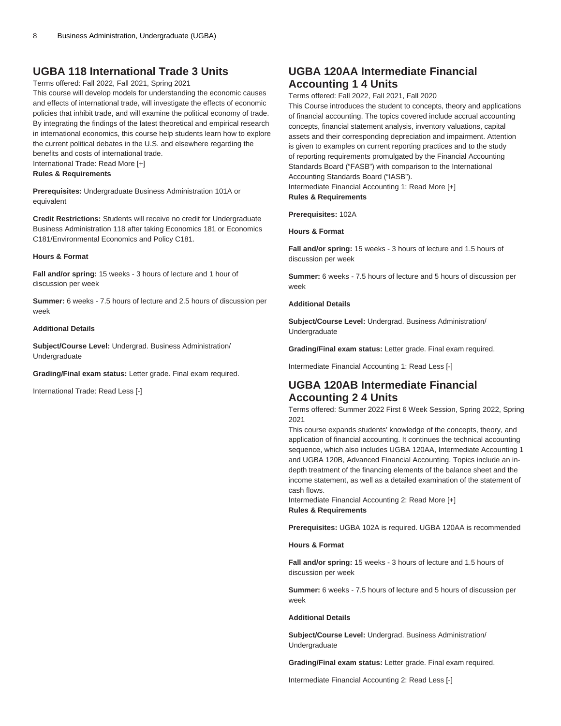### **UGBA 118 International Trade 3 Units**

#### Terms offered: Fall 2022, Fall 2021, Spring 2021

This course will develop models for understanding the economic causes and effects of international trade, will investigate the effects of economic policies that inhibit trade, and will examine the political economy of trade. By integrating the findings of the latest theoretical and empirical research in international economics, this course help students learn how to explore the current political debates in the U.S. and elsewhere regarding the benefits and costs of international trade. International Trade: Read More [+]

#### **Rules & Requirements**

**Prerequisites:** Undergraduate Business Administration 101A or equivalent

**Credit Restrictions:** Students will receive no credit for Undergraduate Business Administration 118 after taking Economics 181 or Economics C181/Environmental Economics and Policy C181.

### **Hours & Format**

**Fall and/or spring:** 15 weeks - 3 hours of lecture and 1 hour of discussion per week

**Summer:** 6 weeks - 7.5 hours of lecture and 2.5 hours of discussion per week

#### **Additional Details**

**Subject/Course Level:** Undergrad. Business Administration/ Undergraduate

**Grading/Final exam status:** Letter grade. Final exam required.

International Trade: Read Less [-]

### **UGBA 120AA Intermediate Financial Accounting 1 4 Units**

Terms offered: Fall 2022, Fall 2021, Fall 2020

This Course introduces the student to concepts, theory and applications of financial accounting. The topics covered include accrual accounting concepts, financial statement analysis, inventory valuations, capital assets and their corresponding depreciation and impairment. Attention is given to examples on current reporting practices and to the study of reporting requirements promulgated by the Financial Accounting Standards Board ("FASB") with comparison to the International Accounting Standards Board ("IASB").

Intermediate Financial Accounting 1: Read More [+] **Rules & Requirements**

**Prerequisites:** 102A

**Hours & Format**

**Fall and/or spring:** 15 weeks - 3 hours of lecture and 1.5 hours of discussion per week

**Summer:** 6 weeks - 7.5 hours of lecture and 5 hours of discussion per week

### **Additional Details**

**Subject/Course Level:** Undergrad. Business Administration/ Undergraduate

**Grading/Final exam status:** Letter grade. Final exam required.

Intermediate Financial Accounting 1: Read Less [-]

### **UGBA 120AB Intermediate Financial Accounting 2 4 Units**

Terms offered: Summer 2022 First 6 Week Session, Spring 2022, Spring 2021

This course expands students' knowledge of the concepts, theory, and application of financial accounting. It continues the technical accounting sequence, which also includes [UGBA 120AA](/search/?P=UGBA%20120AA), Intermediate Accounting 1 and [UGBA 120B](/search/?P=UGBA%20120B), Advanced Financial Accounting. Topics include an indepth treatment of the financing elements of the balance sheet and the income statement, as well as a detailed examination of the statement of cash flows.

Intermediate Financial Accounting 2: Read More [+] **Rules & Requirements**

**Prerequisites:** [UGBA 102A](/search/?P=UGBA%20102A) is required. [UGBA 120AA](/search/?P=UGBA%20120AA) is recommended

### **Hours & Format**

**Fall and/or spring:** 15 weeks - 3 hours of lecture and 1.5 hours of discussion per week

**Summer:** 6 weeks - 7.5 hours of lecture and 5 hours of discussion per week

#### **Additional Details**

**Subject/Course Level:** Undergrad. Business Administration/ Undergraduate

**Grading/Final exam status:** Letter grade. Final exam required.

Intermediate Financial Accounting 2: Read Less [-]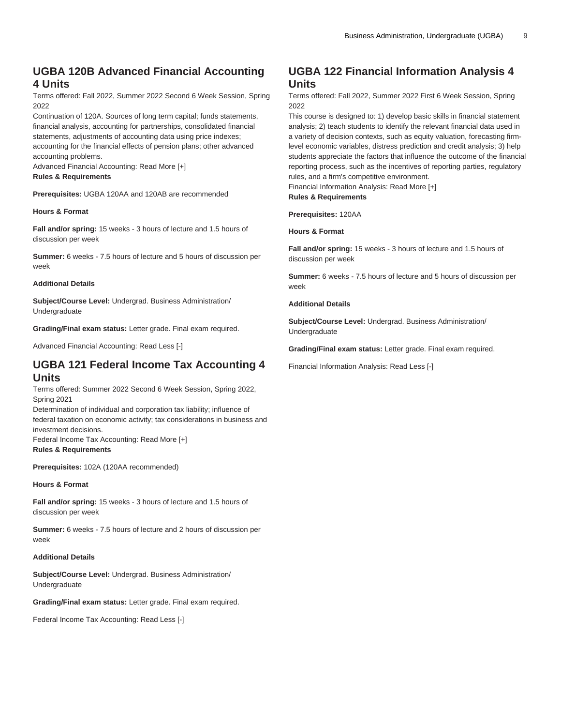# **UGBA 120B Advanced Financial Accounting 4 Units**

Terms offered: Fall 2022, Summer 2022 Second 6 Week Session, Spring 2022

Continuation of 120A. Sources of long term capital; funds statements, financial analysis, accounting for partnerships, consolidated financial statements, adjustments of accounting data using price indexes; accounting for the financial effects of pension plans; other advanced accounting problems.

Advanced Financial Accounting: Read More [+]

### **Rules & Requirements**

**Prerequisites:** [UGBA 120AA](/search/?P=UGBA%20120AA) and [120AB](/search/?P=UGBA%20120AB) are recommended

### **Hours & Format**

**Fall and/or spring:** 15 weeks - 3 hours of lecture and 1.5 hours of discussion per week

**Summer:** 6 weeks - 7.5 hours of lecture and 5 hours of discussion per week

### **Additional Details**

**Subject/Course Level:** Undergrad. Business Administration/ Undergraduate

**Grading/Final exam status:** Letter grade. Final exam required.

Advanced Financial Accounting: Read Less [-]

### **UGBA 121 Federal Income Tax Accounting 4 Units**

Terms offered: Summer 2022 Second 6 Week Session, Spring 2022, Spring 2021

Determination of individual and corporation tax liability; influence of federal taxation on economic activity; tax considerations in business and investment decisions.

Federal Income Tax Accounting: Read More [+] **Rules & Requirements**

**Prerequisites:** 102A (120AA recommended)

### **Hours & Format**

**Fall and/or spring:** 15 weeks - 3 hours of lecture and 1.5 hours of discussion per week

**Summer:** 6 weeks - 7.5 hours of lecture and 2 hours of discussion per week

### **Additional Details**

**Subject/Course Level:** Undergrad. Business Administration/ Undergraduate

**Grading/Final exam status:** Letter grade. Final exam required.

Federal Income Tax Accounting: Read Less [-]

# **UGBA 122 Financial Information Analysis 4 Units**

Terms offered: Fall 2022, Summer 2022 First 6 Week Session, Spring 2022

This course is designed to: 1) develop basic skills in financial statement analysis; 2) teach students to identify the relevant financial data used in a variety of decision contexts, such as equity valuation, forecasting firmlevel economic variables, distress prediction and credit analysis; 3) help students appreciate the factors that influence the outcome of the financial reporting process, such as the incentives of reporting parties, regulatory rules, and a firm's competitive environment.

Financial Information Analysis: Read More [+] **Rules & Requirements**

**Prerequisites:** 120AA

**Hours & Format**

**Fall and/or spring:** 15 weeks - 3 hours of lecture and 1.5 hours of discussion per week

**Summer:** 6 weeks - 7.5 hours of lecture and 5 hours of discussion per week

### **Additional Details**

**Subject/Course Level:** Undergrad. Business Administration/ Undergraduate

**Grading/Final exam status:** Letter grade. Final exam required.

Financial Information Analysis: Read Less [-]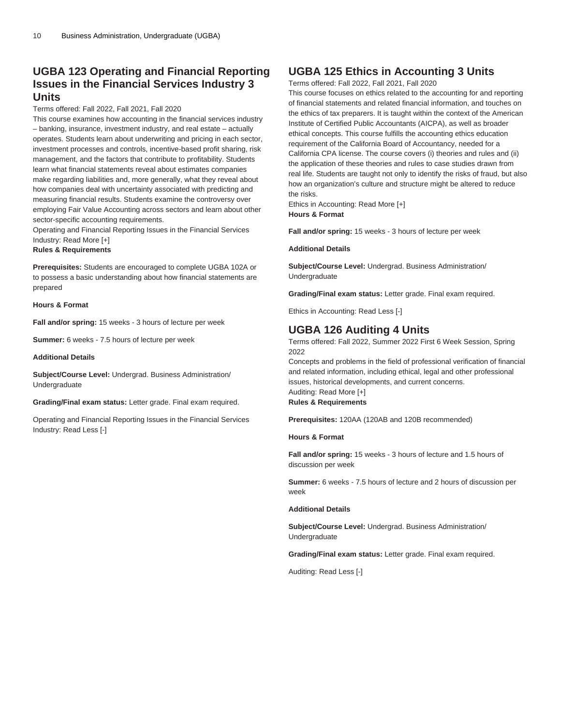# **UGBA 123 Operating and Financial Reporting Issues in the Financial Services Industry 3 Units**

Terms offered: Fall 2022, Fall 2021, Fall 2020

This course examines how accounting in the financial services industry – banking, insurance, investment industry, and real estate – actually operates. Students learn about underwriting and pricing in each sector, investment processes and controls, incentive-based profit sharing, risk management, and the factors that contribute to profitability. Students learn what financial statements reveal about estimates companies make regarding liabilities and, more generally, what they reveal about how companies deal with uncertainty associated with predicting and measuring financial results. Students examine the controversy over employing Fair Value Accounting across sectors and learn about other sector-specific accounting requirements.

Operating and Financial Reporting Issues in the Financial Services Industry: Read More [+]

**Rules & Requirements**

**Prerequisites:** Students are encouraged to complete [UGBA 102A](/search/?P=UGBA%20102A) or to possess a basic understanding about how financial statements are prepared

**Hours & Format**

**Fall and/or spring:** 15 weeks - 3 hours of lecture per week

**Summer:** 6 weeks - 7.5 hours of lecture per week

**Additional Details**

**Subject/Course Level:** Undergrad. Business Administration/ Undergraduate

**Grading/Final exam status:** Letter grade. Final exam required.

Operating and Financial Reporting Issues in the Financial Services Industry: Read Less [-]

### **UGBA 125 Ethics in Accounting 3 Units**

Terms offered: Fall 2022, Fall 2021, Fall 2020

This course focuses on ethics related to the accounting for and reporting of financial statements and related financial information, and touches on the ethics of tax preparers. It is taught within the context of the American Institute of Certified Public Accountants (AICPA), as well as broader ethical concepts. This course fulfills the accounting ethics education requirement of the California Board of Accountancy, needed for a California CPA license. The course covers (i) theories and rules and (ii) the application of these theories and rules to case studies drawn from real life. Students are taught not only to identify the risks of fraud, but also how an organization's culture and structure might be altered to reduce the risks.

Ethics in Accounting: Read More [+] **Hours & Format**

**Fall and/or spring:** 15 weeks - 3 hours of lecture per week

#### **Additional Details**

**Subject/Course Level:** Undergrad. Business Administration/ Undergraduate

**Grading/Final exam status:** Letter grade. Final exam required.

Ethics in Accounting: Read Less [-]

### **UGBA 126 Auditing 4 Units**

Terms offered: Fall 2022, Summer 2022 First 6 Week Session, Spring 2022

Concepts and problems in the field of professional verification of financial and related information, including ethical, legal and other professional issues, historical developments, and current concerns. Auditing: Read More [+] **Rules & Requirements**

**Prerequisites:** 120AA (120AB and 120B recommended)

### **Hours & Format**

**Fall and/or spring:** 15 weeks - 3 hours of lecture and 1.5 hours of discussion per week

**Summer:** 6 weeks - 7.5 hours of lecture and 2 hours of discussion per week

#### **Additional Details**

**Subject/Course Level:** Undergrad. Business Administration/ Undergraduate

**Grading/Final exam status:** Letter grade. Final exam required.

Auditing: Read Less [-]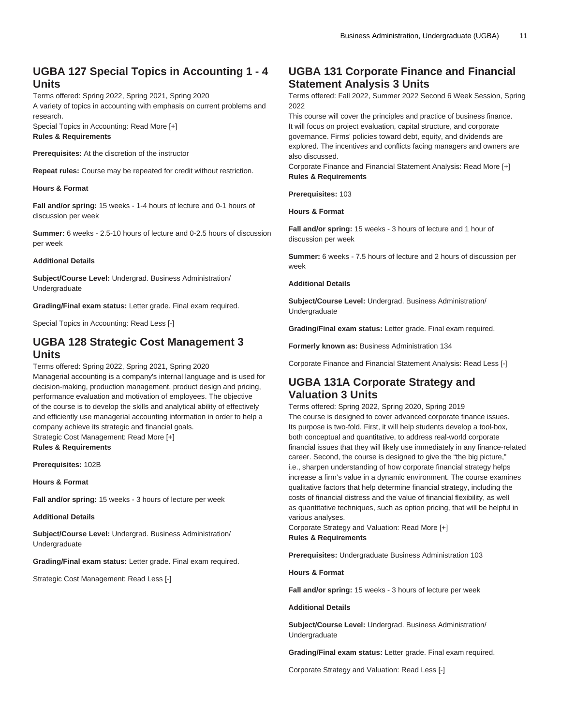# **UGBA 127 Special Topics in Accounting 1 - 4 Units**

Terms offered: Spring 2022, Spring 2021, Spring 2020 A variety of topics in accounting with emphasis on current problems and research.

Special Topics in Accounting: Read More [+] **Rules & Requirements**

**Prerequisites:** At the discretion of the instructor

**Repeat rules:** Course may be repeated for credit without restriction.

### **Hours & Format**

**Fall and/or spring:** 15 weeks - 1-4 hours of lecture and 0-1 hours of discussion per week

**Summer:** 6 weeks - 2.5-10 hours of lecture and 0-2.5 hours of discussion per week

#### **Additional Details**

**Subject/Course Level:** Undergrad. Business Administration/ Undergraduate

**Grading/Final exam status:** Letter grade. Final exam required.

Special Topics in Accounting: Read Less [-]

### **UGBA 128 Strategic Cost Management 3 Units**

Terms offered: Spring 2022, Spring 2021, Spring 2020 Managerial accounting is a company's internal language and is used for decision-making, production management, product design and pricing, performance evaluation and motivation of employees. The objective of the course is to develop the skills and analytical ability of effectively and efficiently use managerial accounting information in order to help a company achieve its strategic and financial goals. Strategic Cost Management: Read More [+]

**Rules & Requirements**

**Prerequisites:** 102B

**Hours & Format**

**Fall and/or spring:** 15 weeks - 3 hours of lecture per week

**Additional Details**

**Subject/Course Level:** Undergrad. Business Administration/ Undergraduate

**Grading/Final exam status:** Letter grade. Final exam required.

Strategic Cost Management: Read Less [-]

# **UGBA 131 Corporate Finance and Financial Statement Analysis 3 Units**

Terms offered: Fall 2022, Summer 2022 Second 6 Week Session, Spring 2022

This course will cover the principles and practice of business finance. It will focus on project evaluation, capital structure, and corporate governance. Firms' policies toward debt, equity, and dividends are explored. The incentives and conflicts facing managers and owners are also discussed.

Corporate Finance and Financial Statement Analysis: Read More [+] **Rules & Requirements**

**Prerequisites:** 103

**Hours & Format**

**Fall and/or spring:** 15 weeks - 3 hours of lecture and 1 hour of discussion per week

**Summer:** 6 weeks - 7.5 hours of lecture and 2 hours of discussion per week

### **Additional Details**

**Subject/Course Level:** Undergrad. Business Administration/ Undergraduate

**Grading/Final exam status:** Letter grade. Final exam required.

**Formerly known as:** Business Administration 134

Corporate Finance and Financial Statement Analysis: Read Less [-]

# **UGBA 131A Corporate Strategy and Valuation 3 Units**

Terms offered: Spring 2022, Spring 2020, Spring 2019 The course is designed to cover advanced corporate finance issues. Its purpose is two-fold. First, it will help students develop a tool-box, both conceptual and quantitative, to address real-world corporate financial issues that they will likely use immediately in any finance-related career. Second, the course is designed to give the "the big picture," i.e., sharpen understanding of how corporate financial strategy helps increase a firm's value in a dynamic environment. The course examines qualitative factors that help determine financial strategy, including the costs of financial distress and the value of financial flexibility, as well as quantitative techniques, such as option pricing, that will be helpful in various analyses.

Corporate Strategy and Valuation: Read More [+] **Rules & Requirements**

**Prerequisites:** Undergraduate Business Administration 103

**Hours & Format**

**Fall and/or spring:** 15 weeks - 3 hours of lecture per week

**Additional Details**

**Subject/Course Level:** Undergrad. Business Administration/ Undergraduate

**Grading/Final exam status:** Letter grade. Final exam required.

Corporate Strategy and Valuation: Read Less [-]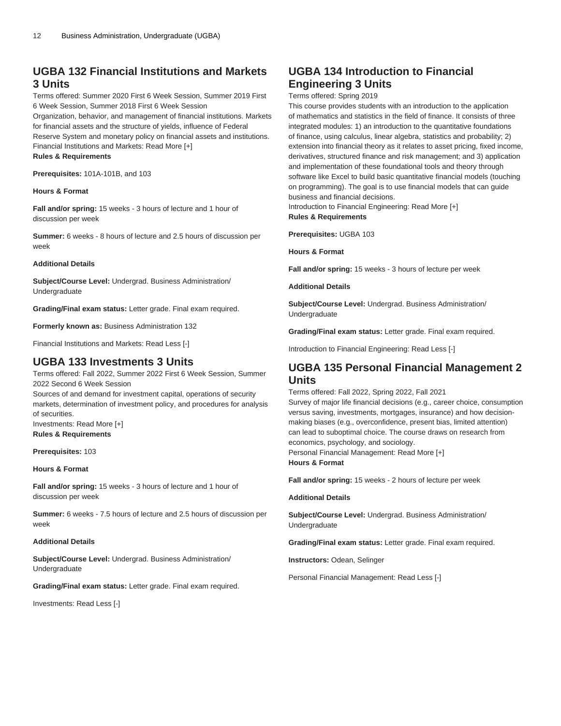# **UGBA 132 Financial Institutions and Markets 3 Units**

Terms offered: Summer 2020 First 6 Week Session, Summer 2019 First 6 Week Session, Summer 2018 First 6 Week Session

Organization, behavior, and management of financial institutions. Markets for financial assets and the structure of yields, influence of Federal Reserve System and monetary policy on financial assets and institutions. Financial Institutions and Markets: Read More [+] **Rules & Requirements**

**Prerequisites:** 101A-101B, and 103

### **Hours & Format**

**Fall and/or spring:** 15 weeks - 3 hours of lecture and 1 hour of discussion per week

**Summer:** 6 weeks - 8 hours of lecture and 2.5 hours of discussion per week

#### **Additional Details**

**Subject/Course Level:** Undergrad. Business Administration/ Undergraduate

**Grading/Final exam status:** Letter grade. Final exam required.

**Formerly known as:** Business Administration 132

Financial Institutions and Markets: Read Less [-]

### **UGBA 133 Investments 3 Units**

Terms offered: Fall 2022, Summer 2022 First 6 Week Session, Summer 2022 Second 6 Week Session

Sources of and demand for investment capital, operations of security markets, determination of investment policy, and procedures for analysis of securities.

Investments: Read More [+] **Rules & Requirements**

**Prerequisites:** 103

**Hours & Format**

**Fall and/or spring:** 15 weeks - 3 hours of lecture and 1 hour of discussion per week

**Summer:** 6 weeks - 7.5 hours of lecture and 2.5 hours of discussion per week

#### **Additional Details**

**Subject/Course Level:** Undergrad. Business Administration/ Undergraduate

**Grading/Final exam status:** Letter grade. Final exam required.

Investments: Read Less [-]

# **UGBA 134 Introduction to Financial Engineering 3 Units**

Terms offered: Spring 2019

This course provides students with an introduction to the application of mathematics and statistics in the field of finance. It consists of three integrated modules: 1) an introduction to the quantitative foundations of finance, using calculus, linear algebra, statistics and probability; 2) extension into financial theory as it relates to asset pricing, fixed income, derivatives, structured finance and risk management; and 3) application and implementation of these foundational tools and theory through software like Excel to build basic quantitative financial models (touching on programming). The goal is to use financial models that can guide business and financial decisions.

Introduction to Financial Engineering: Read More [+] **Rules & Requirements**

**Prerequisites:** [UGBA 103](/search/?P=UGBA%20103)

**Hours & Format**

**Fall and/or spring:** 15 weeks - 3 hours of lecture per week

**Additional Details**

**Subject/Course Level:** Undergrad. Business Administration/ Undergraduate

**Grading/Final exam status:** Letter grade. Final exam required.

Introduction to Financial Engineering: Read Less [-]

### **UGBA 135 Personal Financial Management 2 Units**

Terms offered: Fall 2022, Spring 2022, Fall 2021

Survey of major life financial decisions (e.g., career choice, consumption versus saving, investments, mortgages, insurance) and how decisionmaking biases (e.g., overconfidence, present bias, limited attention) can lead to suboptimal choice. The course draws on research from economics, psychology, and sociology. Personal Financial Management: Read More [+] **Hours & Format**

**Fall and/or spring:** 15 weeks - 2 hours of lecture per week

### **Additional Details**

**Subject/Course Level:** Undergrad. Business Administration/ Undergraduate

**Grading/Final exam status:** Letter grade. Final exam required.

**Instructors:** Odean, Selinger

Personal Financial Management: Read Less [-]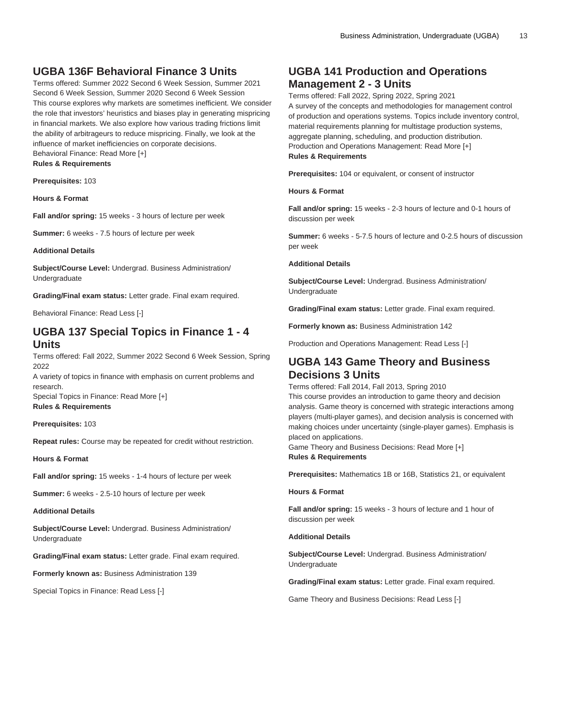# **UGBA 136F Behavioral Finance 3 Units**

Terms offered: Summer 2022 Second 6 Week Session, Summer 2021 Second 6 Week Session, Summer 2020 Second 6 Week Session This course explores why markets are sometimes inefficient. We consider the role that investors' heuristics and biases play in generating mispricing in financial markets. We also explore how various trading frictions limit the ability of arbitrageurs to reduce mispricing. Finally, we look at the influence of market inefficiencies on corporate decisions. Behavioral Finance: Read More [+]

**Rules & Requirements**

**Prerequisites:** 103

**Hours & Format**

**Fall and/or spring:** 15 weeks - 3 hours of lecture per week

**Summer:** 6 weeks - 7.5 hours of lecture per week

### **Additional Details**

**Subject/Course Level:** Undergrad. Business Administration/ Undergraduate

**Grading/Final exam status:** Letter grade. Final exam required.

Behavioral Finance: Read Less [-]

### **UGBA 137 Special Topics in Finance 1 - 4 Units**

Terms offered: Fall 2022, Summer 2022 Second 6 Week Session, Spring 2022

A variety of topics in finance with emphasis on current problems and research.

Special Topics in Finance: Read More [+] **Rules & Requirements**

**Prerequisites:** 103

**Repeat rules:** Course may be repeated for credit without restriction.

**Hours & Format**

**Fall and/or spring:** 15 weeks - 1-4 hours of lecture per week

**Summer:** 6 weeks - 2.5-10 hours of lecture per week

**Additional Details**

**Subject/Course Level:** Undergrad. Business Administration/ Undergraduate

**Grading/Final exam status:** Letter grade. Final exam required.

**Formerly known as:** Business Administration 139

Special Topics in Finance: Read Less [-]

### **UGBA 141 Production and Operations Management 2 - 3 Units**

Terms offered: Fall 2022, Spring 2022, Spring 2021 A survey of the concepts and methodologies for management control of production and operations systems. Topics include inventory control, material requirements planning for multistage production systems, aggregate planning, scheduling, and production distribution. Production and Operations Management: Read More [+] **Rules & Requirements**

**Prerequisites:** 104 or equivalent, or consent of instructor

**Hours & Format**

**Fall and/or spring:** 15 weeks - 2-3 hours of lecture and 0-1 hours of discussion per week

**Summer:** 6 weeks - 5-7.5 hours of lecture and 0-2.5 hours of discussion per week

#### **Additional Details**

**Subject/Course Level:** Undergrad. Business Administration/ Undergraduate

**Grading/Final exam status:** Letter grade. Final exam required.

**Formerly known as:** Business Administration 142

Production and Operations Management: Read Less [-]

### **UGBA 143 Game Theory and Business Decisions 3 Units**

Terms offered: Fall 2014, Fall 2013, Spring 2010 This course provides an introduction to game theory and decision analysis. Game theory is concerned with strategic interactions among players (multi-player games), and decision analysis is concerned with making choices under uncertainty (single-player games). Emphasis is placed on applications.

Game Theory and Business Decisions: Read More [+] **Rules & Requirements**

**Prerequisites:** Mathematics 1B or 16B, Statistics 21, or equivalent

#### **Hours & Format**

**Fall and/or spring:** 15 weeks - 3 hours of lecture and 1 hour of discussion per week

#### **Additional Details**

**Subject/Course Level:** Undergrad. Business Administration/ Undergraduate

**Grading/Final exam status:** Letter grade. Final exam required.

Game Theory and Business Decisions: Read Less [-]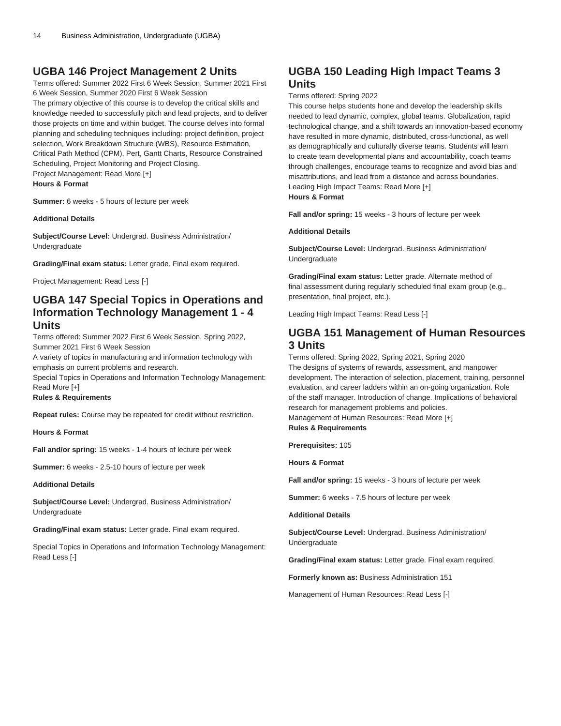# **UGBA 146 Project Management 2 Units**

Terms offered: Summer 2022 First 6 Week Session, Summer 2021 First 6 Week Session, Summer 2020 First 6 Week Session The primary objective of this course is to develop the critical skills and knowledge needed to successfully pitch and lead projects, and to deliver those projects on time and within budget. The course delves into formal planning and scheduling techniques including: project definition, project selection, Work Breakdown Structure (WBS), Resource Estimation, Critical Path Method (CPM), Pert, Gantt Charts, Resource Constrained Scheduling, Project Monitoring and Project Closing. Project Management: Read More [+] **Hours & Format**

**Summer:** 6 weeks - 5 hours of lecture per week

**Additional Details**

**Subject/Course Level:** Undergrad. Business Administration/ Undergraduate

**Grading/Final exam status:** Letter grade. Final exam required.

Project Management: Read Less [-]

# **UGBA 147 Special Topics in Operations and Information Technology Management 1 - 4 Units**

Terms offered: Summer 2022 First 6 Week Session, Spring 2022, Summer 2021 First 6 Week Session

A variety of topics in manufacturing and information technology with emphasis on current problems and research.

Special Topics in Operations and Information Technology Management: Read More [+]

### **Rules & Requirements**

**Repeat rules:** Course may be repeated for credit without restriction.

**Hours & Format**

**Fall and/or spring:** 15 weeks - 1-4 hours of lecture per week

**Summer:** 6 weeks - 2.5-10 hours of lecture per week

### **Additional Details**

**Subject/Course Level:** Undergrad. Business Administration/ Undergraduate

**Grading/Final exam status:** Letter grade. Final exam required.

Special Topics in Operations and Information Technology Management: Read Less [-]

# **UGBA 150 Leading High Impact Teams 3 Units**

### Terms offered: Spring 2022

This course helps students hone and develop the leadership skills needed to lead dynamic, complex, global teams. Globalization, rapid technological change, and a shift towards an innovation-based economy have resulted in more dynamic, distributed, cross-functional, as well as demographically and culturally diverse teams. Students will learn to create team developmental plans and accountability, coach teams through challenges, encourage teams to recognize and avoid bias and misattributions, and lead from a distance and across boundaries. Leading High Impact Teams: Read More [+] **Hours & Format**

**Fall and/or spring:** 15 weeks - 3 hours of lecture per week

### **Additional Details**

**Subject/Course Level:** Undergrad. Business Administration/ Undergraduate

**Grading/Final exam status:** Letter grade. Alternate method of final assessment during regularly scheduled final exam group (e.g., presentation, final project, etc.).

Leading High Impact Teams: Read Less [-]

### **UGBA 151 Management of Human Resources 3 Units**

Terms offered: Spring 2022, Spring 2021, Spring 2020 The designs of systems of rewards, assessment, and manpower development. The interaction of selection, placement, training, personnel evaluation, and career ladders within an on-going organization. Role of the staff manager. Introduction of change. Implications of behavioral research for management problems and policies. Management of Human Resources: Read More [+] **Rules & Requirements**

**Prerequisites:** 105

**Hours & Format**

**Fall and/or spring:** 15 weeks - 3 hours of lecture per week

**Summer:** 6 weeks - 7.5 hours of lecture per week

**Additional Details**

**Subject/Course Level:** Undergrad. Business Administration/ Undergraduate

**Grading/Final exam status:** Letter grade. Final exam required.

**Formerly known as:** Business Administration 151

Management of Human Resources: Read Less [-]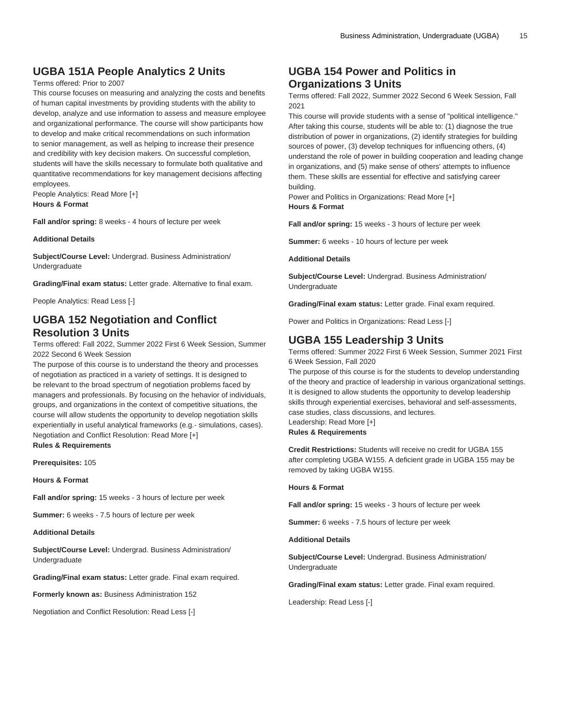# **UGBA 151A People Analytics 2 Units**

### Terms offered: Prior to 2007

This course focuses on measuring and analyzing the costs and benefits of human capital investments by providing students with the ability to develop, analyze and use information to assess and measure employee and organizational performance. The course will show participants how to develop and make critical recommendations on such information to senior management, as well as helping to increase their presence and credibility with key decision makers. On successful completion, students will have the skills necessary to formulate both qualitative and quantitative recommendations for key management decisions affecting employees.

People Analytics: Read More [+] **Hours & Format**

**Fall and/or spring:** 8 weeks - 4 hours of lecture per week

#### **Additional Details**

**Subject/Course Level:** Undergrad. Business Administration/ Undergraduate

**Grading/Final exam status:** Letter grade. Alternative to final exam.

People Analytics: Read Less [-]

# **UGBA 152 Negotiation and Conflict Resolution 3 Units**

Terms offered: Fall 2022, Summer 2022 First 6 Week Session, Summer 2022 Second 6 Week Session

The purpose of this course is to understand the theory and processes of negotiation as practiced in a variety of settings. It is designed to be relevant to the broad spectrum of negotiation problems faced by managers and professionals. By focusing on the hehavior of individuals, groups, and organizations in the context of competitive situations, the course will allow students the opportunity to develop negotiation skills experientially in useful analytical frameworks (e.g.- simulations, cases). Negotiation and Conflict Resolution: Read More [+] **Rules & Requirements**

**Prerequisites:** 105

**Hours & Format**

**Fall and/or spring:** 15 weeks - 3 hours of lecture per week

**Summer:** 6 weeks - 7.5 hours of lecture per week

**Additional Details**

**Subject/Course Level:** Undergrad. Business Administration/ Undergraduate

**Grading/Final exam status:** Letter grade. Final exam required.

**Formerly known as:** Business Administration 152

Negotiation and Conflict Resolution: Read Less [-]

# **UGBA 154 Power and Politics in Organizations 3 Units**

Terms offered: Fall 2022, Summer 2022 Second 6 Week Session, Fall 2021

This course will provide students with a sense of "political intelligence." After taking this course, students will be able to: (1) diagnose the true distribution of power in organizations, (2) identify strategies for building sources of power, (3) develop techniques for influencing others, (4) understand the role of power in building cooperation and leading change in organizations, and (5) make sense of others' attempts to influence them. These skills are essential for effective and satisfying career building.

Power and Politics in Organizations: Read More [+] **Hours & Format**

**Fall and/or spring:** 15 weeks - 3 hours of lecture per week

**Summer:** 6 weeks - 10 hours of lecture per week

**Additional Details**

**Subject/Course Level:** Undergrad. Business Administration/ Undergraduate

**Grading/Final exam status:** Letter grade. Final exam required.

Power and Politics in Organizations: Read Less [-]

# **UGBA 155 Leadership 3 Units**

Terms offered: Summer 2022 First 6 Week Session, Summer 2021 First 6 Week Session, Fall 2020

The purpose of this course is for the students to develop understanding of the theory and practice of leadership in various organizational settings. It is designed to allow students the opportunity to develop leadership skills through experiential exercises, behavioral and self-assessments, case studies, class discussions, and lectures. Leadership: Read More [+]

**Rules & Requirements**

**Credit Restrictions:** Students will receive no credit for [UGBA 155](/search/?P=UGBA%20155) after completing [UGBA W155.](/search/?P=UGBA%20W155) A deficient grade in [UGBA 155](/search/?P=UGBA%20155) may be removed by taking [UGBA W155](/search/?P=UGBA%20W155).

#### **Hours & Format**

**Fall and/or spring:** 15 weeks - 3 hours of lecture per week

**Summer:** 6 weeks - 7.5 hours of lecture per week

**Additional Details**

**Subject/Course Level:** Undergrad. Business Administration/ Undergraduate

**Grading/Final exam status:** Letter grade. Final exam required.

Leadership: Read Less [-]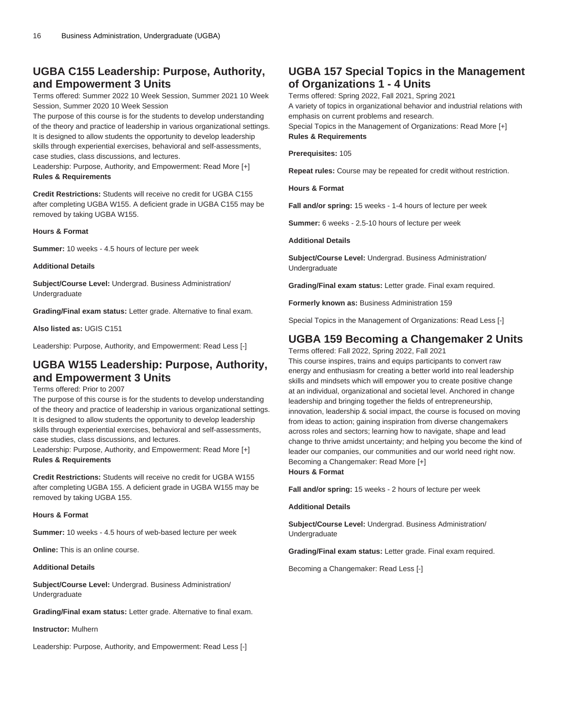# **UGBA C155 Leadership: Purpose, Authority, and Empowerment 3 Units**

Terms offered: Summer 2022 10 Week Session, Summer 2021 10 Week Session, Summer 2020 10 Week Session

The purpose of this course is for the students to develop understanding of the theory and practice of leadership in various organizational settings. It is designed to allow students the opportunity to develop leadership skills through experiential exercises, behavioral and self-assessments, case studies, class discussions, and lectures.

Leadership: Purpose, Authority, and Empowerment: Read More [+] **Rules & Requirements**

**Credit Restrictions:** Students will receive no credit for [UGBA C155](/search/?P=UGBA%20C155) after completing [UGBA W155.](/search/?P=UGBA%20W155) A deficient grade in [UGBA C155](/search/?P=UGBA%20C155) may be removed by taking [UGBA W155](/search/?P=UGBA%20W155).

### **Hours & Format**

**Summer:** 10 weeks - 4.5 hours of lecture per week

#### **Additional Details**

**Subject/Course Level:** Undergrad. Business Administration/ Undergraduate

**Grading/Final exam status:** Letter grade. Alternative to final exam.

**Also listed as:** UGIS C151

Leadership: Purpose, Authority, and Empowerment: Read Less [-]

# **UGBA W155 Leadership: Purpose, Authority, and Empowerment 3 Units**

### Terms offered: Prior to 2007

The purpose of this course is for the students to develop understanding of the theory and practice of leadership in various organizational settings. It is designed to allow students the opportunity to develop leadership skills through experiential exercises, behavioral and self-assessments, case studies, class discussions, and lectures.

Leadership: Purpose, Authority, and Empowerment: Read More [+] **Rules & Requirements**

**Credit Restrictions:** Students will receive no credit for [UGBA W155](/search/?P=UGBA%20W155) after completing [UGBA 155](/search/?P=UGBA%20155). A deficient grade in [UGBA W155](/search/?P=UGBA%20W155) may be removed by taking [UGBA 155.](/search/?P=UGBA%20155)

### **Hours & Format**

**Summer:** 10 weeks - 4.5 hours of web-based lecture per week

**Online:** This is an online course.

### **Additional Details**

**Subject/Course Level:** Undergrad. Business Administration/ Undergraduate

**Grading/Final exam status:** Letter grade. Alternative to final exam.

**Instructor:** Mulhern

Leadership: Purpose, Authority, and Empowerment: Read Less [-]

# **UGBA 157 Special Topics in the Management of Organizations 1 - 4 Units**

Terms offered: Spring 2022, Fall 2021, Spring 2021 A variety of topics in organizational behavior and industrial relations with emphasis on current problems and research. Special Topics in the Management of Organizations: Read More [+] **Rules & Requirements**

**Prerequisites:** 105

**Repeat rules:** Course may be repeated for credit without restriction.

**Hours & Format**

**Fall and/or spring:** 15 weeks - 1-4 hours of lecture per week

**Summer:** 6 weeks - 2.5-10 hours of lecture per week

### **Additional Details**

**Subject/Course Level:** Undergrad. Business Administration/ Undergraduate

**Grading/Final exam status:** Letter grade. Final exam required.

**Formerly known as:** Business Administration 159

Special Topics in the Management of Organizations: Read Less [-]

# **UGBA 159 Becoming a Changemaker 2 Units**

Terms offered: Fall 2022, Spring 2022, Fall 2021

This course inspires, trains and equips participants to convert raw energy and enthusiasm for creating a better world into real leadership skills and mindsets which will empower you to create positive change at an individual, organizational and societal level. Anchored in change leadership and bringing together the fields of entrepreneurship, innovation, leadership & social impact, the course is focused on moving from ideas to action; gaining inspiration from diverse changemakers across roles and sectors; learning how to navigate, shape and lead change to thrive amidst uncertainty; and helping you become the kind of leader our companies, our communities and our world need right now. Becoming a Changemaker: Read More [+]

### **Hours & Format**

**Fall and/or spring:** 15 weeks - 2 hours of lecture per week

#### **Additional Details**

**Subject/Course Level:** Undergrad. Business Administration/ Undergraduate

**Grading/Final exam status:** Letter grade. Final exam required.

Becoming a Changemaker: Read Less [-]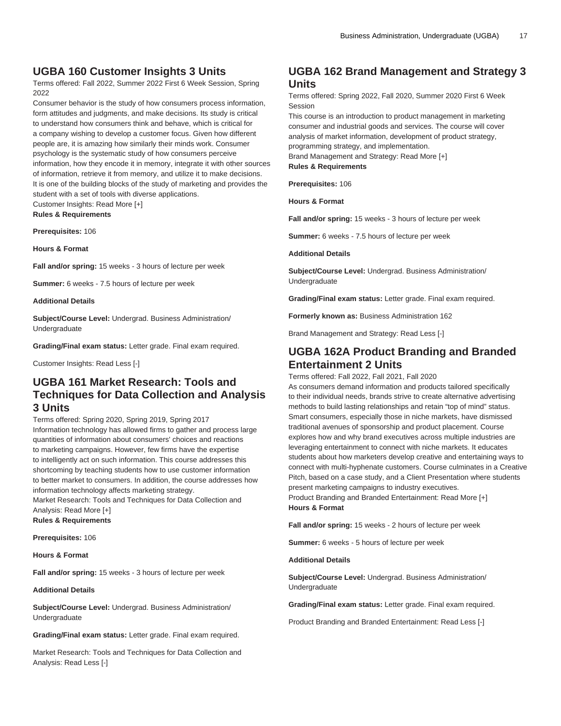### **UGBA 160 Customer Insights 3 Units**

Terms offered: Fall 2022, Summer 2022 First 6 Week Session, Spring 2022

Consumer behavior is the study of how consumers process information, form attitudes and judgments, and make decisions. Its study is critical to understand how consumers think and behave, which is critical for a company wishing to develop a customer focus. Given how different people are, it is amazing how similarly their minds work. Consumer psychology is the systematic study of how consumers perceive information, how they encode it in memory, integrate it with other sources of information, retrieve it from memory, and utilize it to make decisions. It is one of the building blocks of the study of marketing and provides the student with a set of tools with diverse applications. Customer Insights: Read More [+]

**Rules & Requirements**

**Prerequisites:** 106

**Hours & Format**

**Fall and/or spring:** 15 weeks - 3 hours of lecture per week

**Summer:** 6 weeks - 7.5 hours of lecture per week

### **Additional Details**

**Subject/Course Level:** Undergrad. Business Administration/ Undergraduate

**Grading/Final exam status:** Letter grade. Final exam required.

Customer Insights: Read Less [-]

### **UGBA 161 Market Research: Tools and Techniques for Data Collection and Analysis 3 Units**

### Terms offered: Spring 2020, Spring 2019, Spring 2017

Information technology has allowed firms to gather and process large quantities of information about consumers' choices and reactions to marketing campaigns. However, few firms have the expertise to intelligently act on such information. This course addresses this shortcoming by teaching students how to use customer information to better market to consumers. In addition, the course addresses how information technology affects marketing strategy.

Market Research: Tools and Techniques for Data Collection and Analysis: Read More [+]

**Rules & Requirements**

**Prerequisites:** 106

**Hours & Format**

**Fall and/or spring:** 15 weeks - 3 hours of lecture per week

#### **Additional Details**

**Subject/Course Level:** Undergrad. Business Administration/ Undergraduate

**Grading/Final exam status:** Letter grade. Final exam required.

Market Research: Tools and Techniques for Data Collection and Analysis: Read Less [-]

### **UGBA 162 Brand Management and Strategy 3 Units**

Terms offered: Spring 2022, Fall 2020, Summer 2020 First 6 Week Session

This course is an introduction to product management in marketing consumer and industrial goods and services. The course will cover analysis of market information, development of product strategy, programming strategy, and implementation. Brand Management and Strategy: Read More [+] **Rules & Requirements**

**Prerequisites:** 106

**Hours & Format**

**Fall and/or spring:** 15 weeks - 3 hours of lecture per week

**Summer:** 6 weeks - 7.5 hours of lecture per week

#### **Additional Details**

**Subject/Course Level:** Undergrad. Business Administration/ Undergraduate

**Grading/Final exam status:** Letter grade. Final exam required.

**Formerly known as:** Business Administration 162

Brand Management and Strategy: Read Less [-]

### **UGBA 162A Product Branding and Branded Entertainment 2 Units**

Terms offered: Fall 2022, Fall 2021, Fall 2020

As consumers demand information and products tailored specifically to their individual needs, brands strive to create alternative advertising methods to build lasting relationships and retain "top of mind" status. Smart consumers, especially those in niche markets, have dismissed traditional avenues of sponsorship and product placement. Course explores how and why brand executives across multiple industries are leveraging entertainment to connect with niche markets. It educates students about how marketers develop creative and entertaining ways to connect with multi-hyphenate customers. Course culminates in a Creative Pitch, based on a case study, and a Client Presentation where students present marketing campaigns to industry executives. Product Branding and Branded Entertainment: Read More [+]

**Hours & Format**

**Fall and/or spring:** 15 weeks - 2 hours of lecture per week

**Summer:** 6 weeks - 5 hours of lecture per week

**Additional Details**

**Subject/Course Level:** Undergrad. Business Administration/ Undergraduate

**Grading/Final exam status:** Letter grade. Final exam required.

Product Branding and Branded Entertainment: Read Less [-]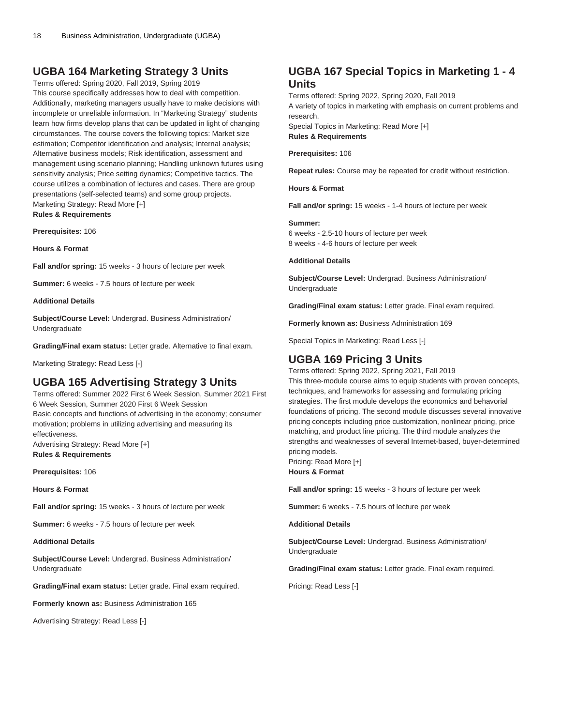# **UGBA 164 Marketing Strategy 3 Units**

Terms offered: Spring 2020, Fall 2019, Spring 2019 This course specifically addresses how to deal with competition. Additionally, marketing managers usually have to make decisions with incomplete or unreliable information. In "Marketing Strategy" students learn how firms develop plans that can be updated in light of changing circumstances. The course covers the following topics: Market size estimation; Competitor identification and analysis; Internal analysis; Alternative business models; Risk identification, assessment and management using scenario planning; Handling unknown futures using sensitivity analysis; Price setting dynamics; Competitive tactics. The course utilizes a combination of lectures and cases. There are group presentations (self-selected teams) and some group projects. Marketing Strategy: Read More [+] **Rules & Requirements**

**Prerequisites:** 106

**Hours & Format**

**Fall and/or spring:** 15 weeks - 3 hours of lecture per week

**Summer:** 6 weeks - 7.5 hours of lecture per week

### **Additional Details**

**Subject/Course Level:** Undergrad. Business Administration/ Undergraduate

**Grading/Final exam status:** Letter grade. Alternative to final exam.

Marketing Strategy: Read Less [-]

# **UGBA 165 Advertising Strategy 3 Units**

Terms offered: Summer 2022 First 6 Week Session, Summer 2021 First 6 Week Session, Summer 2020 First 6 Week Session Basic concepts and functions of advertising in the economy; consumer motivation; problems in utilizing advertising and measuring its effectiveness. Advertising Strategy: Read More [+]

**Rules & Requirements**

**Prerequisites:** 106

**Hours & Format**

**Fall and/or spring:** 15 weeks - 3 hours of lecture per week

**Summer:** 6 weeks - 7.5 hours of lecture per week

**Additional Details**

**Subject/Course Level:** Undergrad. Business Administration/ Undergraduate

**Grading/Final exam status:** Letter grade. Final exam required.

**Formerly known as:** Business Administration 165

Advertising Strategy: Read Less [-]

# **UGBA 167 Special Topics in Marketing 1 - 4 Units**

Terms offered: Spring 2022, Spring 2020, Fall 2019 A variety of topics in marketing with emphasis on current problems and research. Special Topics in Marketing: Read More [+] **Rules & Requirements**

**Prerequisites:** 106

**Repeat rules:** Course may be repeated for credit without restriction.

**Hours & Format**

**Fall and/or spring:** 15 weeks - 1-4 hours of lecture per week

#### **Summer:**

6 weeks - 2.5-10 hours of lecture per week 8 weeks - 4-6 hours of lecture per week

**Additional Details**

**Subject/Course Level:** Undergrad. Business Administration/ Undergraduate

**Grading/Final exam status:** Letter grade. Final exam required.

**Formerly known as:** Business Administration 169

Special Topics in Marketing: Read Less [-]

# **UGBA 169 Pricing 3 Units**

Terms offered: Spring 2022, Spring 2021, Fall 2019 This three-module course aims to equip students with proven concepts, techniques, and frameworks for assessing and formulating pricing strategies. The first module develops the economics and behavorial foundations of pricing. The second module discusses several innovative pricing concepts including price customization, nonlinear pricing, price matching, and product line pricing. The third module analyzes the strengths and weaknesses of several Internet-based, buyer-determined pricing models.

Pricing: Read More [+] **Hours & Format**

**Fall and/or spring:** 15 weeks - 3 hours of lecture per week

**Summer:** 6 weeks - 7.5 hours of lecture per week

**Additional Details**

**Subject/Course Level:** Undergrad. Business Administration/ Undergraduate

**Grading/Final exam status:** Letter grade. Final exam required.

Pricing: Read Less [-]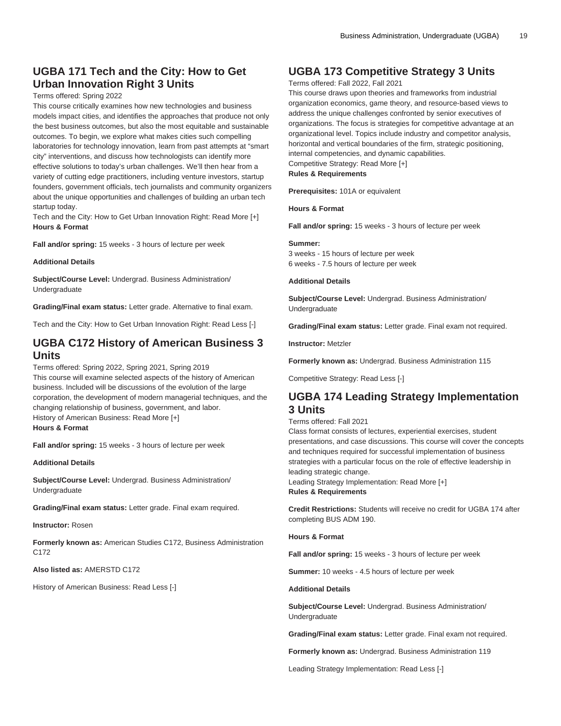### **UGBA 171 Tech and the City: How to Get Urban Innovation Right 3 Units**

### Terms offered: Spring 2022

This course critically examines how new technologies and business models impact cities, and identifies the approaches that produce not only the best business outcomes, but also the most equitable and sustainable outcomes. To begin, we explore what makes cities such compelling laboratories for technology innovation, learn from past attempts at "smart city" interventions, and discuss how technologists can identify more effective solutions to today's urban challenges. We'll then hear from a variety of cutting edge practitioners, including venture investors, startup founders, government officials, tech journalists and community organizers about the unique opportunities and challenges of building an urban tech startup today.

Tech and the City: How to Get Urban Innovation Right: Read More [+] **Hours & Format**

**Fall and/or spring:** 15 weeks - 3 hours of lecture per week

### **Additional Details**

**Subject/Course Level:** Undergrad. Business Administration/ Undergraduate

**Grading/Final exam status:** Letter grade. Alternative to final exam.

Tech and the City: How to Get Urban Innovation Right: Read Less [-]

### **UGBA C172 History of American Business 3 Units**

Terms offered: Spring 2022, Spring 2021, Spring 2019 This course will examine selected aspects of the history of American business. Included will be discussions of the evolution of the large corporation, the development of modern managerial techniques, and the changing relationship of business, government, and labor. History of American Business: Read More [+] **Hours & Format**

**Fall and/or spring:** 15 weeks - 3 hours of lecture per week

**Additional Details**

**Subject/Course Level:** Undergrad. Business Administration/ Undergraduate

**Grading/Final exam status:** Letter grade. Final exam required.

**Instructor:** Rosen

**Formerly known as:** American Studies C172, Business Administration C<sub>172</sub>

### **Also listed as:** AMERSTD C172

History of American Business: Read Less [-]

# **UGBA 173 Competitive Strategy 3 Units**

#### Terms offered: Fall 2022, Fall 2021

This course draws upon theories and frameworks from industrial organization economics, game theory, and resource-based views to address the unique challenges confronted by senior executives of organizations. The focus is strategies for competitive advantage at an organizational level. Topics include industry and competitor analysis, horizontal and vertical boundaries of the firm, strategic positioning, internal competencies, and dynamic capabilities. Competitive Strategy: Read More [+] **Rules & Requirements**

**Prerequisites:** 101A or equivalent

**Hours & Format**

**Fall and/or spring:** 15 weeks - 3 hours of lecture per week

#### **Summer:**

3 weeks - 15 hours of lecture per week 6 weeks - 7.5 hours of lecture per week

### **Additional Details**

**Subject/Course Level:** Undergrad. Business Administration/ Undergraduate

**Grading/Final exam status:** Letter grade. Final exam not required.

**Instructor:** Metzler

**Formerly known as:** Undergrad. Business Administration 115

Competitive Strategy: Read Less [-]

### **UGBA 174 Leading Strategy Implementation 3 Units**

### Terms offered: Fall 2021

Class format consists of lectures, experiential exercises, student presentations, and case discussions. This course will cover the concepts and techniques required for successful implementation of business strategies with a particular focus on the role of effective leadership in leading strategic change.

Leading Strategy Implementation: Read More [+] **Rules & Requirements**

**Credit Restrictions:** Students will receive no credit for [UGBA 174](/search/?P=UGBA%20174) after completing BUS ADM 190.

#### **Hours & Format**

**Fall and/or spring:** 15 weeks - 3 hours of lecture per week

**Summer:** 10 weeks - 4.5 hours of lecture per week

### **Additional Details**

**Subject/Course Level:** Undergrad. Business Administration/ Undergraduate

**Grading/Final exam status:** Letter grade. Final exam not required.

**Formerly known as:** Undergrad. Business Administration 119

Leading Strategy Implementation: Read Less [-]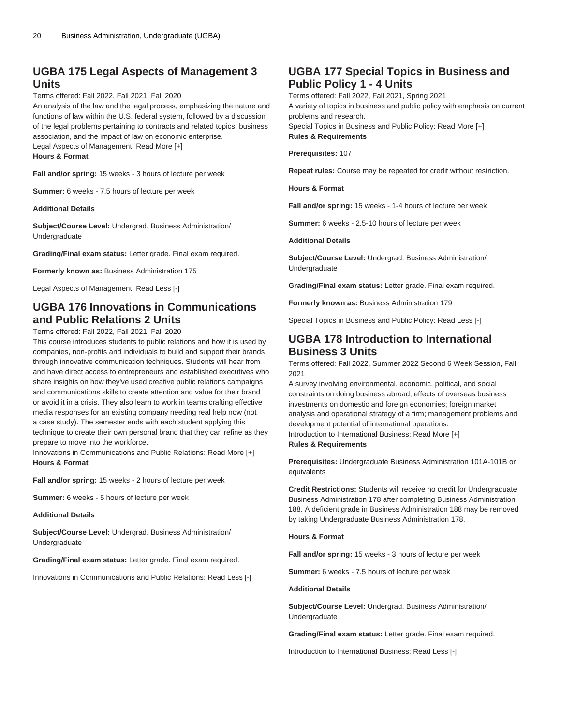### **UGBA 175 Legal Aspects of Management 3 Units**

### Terms offered: Fall 2022, Fall 2021, Fall 2020

An analysis of the law and the legal process, emphasizing the nature and functions of law within the U.S. federal system, followed by a discussion of the legal problems pertaining to contracts and related topics, business association, and the impact of law on economic enterprise.

Legal Aspects of Management: Read More [+]

**Hours & Format**

**Fall and/or spring:** 15 weeks - 3 hours of lecture per week

**Summer:** 6 weeks - 7.5 hours of lecture per week

#### **Additional Details**

**Subject/Course Level:** Undergrad. Business Administration/ Undergraduate

**Grading/Final exam status:** Letter grade. Final exam required.

**Formerly known as:** Business Administration 175

Legal Aspects of Management: Read Less [-]

# **UGBA 176 Innovations in Communications and Public Relations 2 Units**

Terms offered: Fall 2022, Fall 2021, Fall 2020

This course introduces students to public relations and how it is used by companies, non-profits and individuals to build and support their brands through innovative communication techniques. Students will hear from and have direct access to entrepreneurs and established executives who share insights on how they've used creative public relations campaigns and communications skills to create attention and value for their brand or avoid it in a crisis. They also learn to work in teams crafting effective media responses for an existing company needing real help now (not a case study). The semester ends with each student applying this technique to create their own personal brand that they can refine as they prepare to move into the workforce.

Innovations in Communications and Public Relations: Read More [+] **Hours & Format**

**Fall and/or spring:** 15 weeks - 2 hours of lecture per week

**Summer:** 6 weeks - 5 hours of lecture per week

#### **Additional Details**

**Subject/Course Level:** Undergrad. Business Administration/ Undergraduate

**Grading/Final exam status:** Letter grade. Final exam required.

Innovations in Communications and Public Relations: Read Less [-]

### **UGBA 177 Special Topics in Business and Public Policy 1 - 4 Units**

Terms offered: Fall 2022, Fall 2021, Spring 2021 A variety of topics in business and public policy with emphasis on current problems and research. Special Topics in Business and Public Policy: Read More [+] **Rules & Requirements**

**Prerequisites:** 107

**Repeat rules:** Course may be repeated for credit without restriction.

**Hours & Format**

**Fall and/or spring:** 15 weeks - 1-4 hours of lecture per week

**Summer:** 6 weeks - 2.5-10 hours of lecture per week

**Additional Details**

**Subject/Course Level:** Undergrad. Business Administration/ Undergraduate

**Grading/Final exam status:** Letter grade. Final exam required.

**Formerly known as:** Business Administration 179

Special Topics in Business and Public Policy: Read Less [-]

### **UGBA 178 Introduction to International Business 3 Units**

Terms offered: Fall 2022, Summer 2022 Second 6 Week Session, Fall 2021

A survey involving environmental, economic, political, and social constraints on doing business abroad; effects of overseas business investments on domestic and foreign economies; foreign market analysis and operational strategy of a firm; management problems and development potential of international operations. Introduction to International Business: Read More [+] **Rules & Requirements**

**Prerequisites:** Undergraduate Business Administration 101A-101B or equivalents

**Credit Restrictions:** Students will receive no credit for Undergraduate Business Administration 178 after completing Business Administration 188. A deficient grade in Business Administration 188 may be removed by taking Undergraduate Business Administration 178.

#### **Hours & Format**

**Fall and/or spring:** 15 weeks - 3 hours of lecture per week

**Summer:** 6 weeks - 7.5 hours of lecture per week

### **Additional Details**

**Subject/Course Level:** Undergrad. Business Administration/ Undergraduate

**Grading/Final exam status:** Letter grade. Final exam required.

Introduction to International Business: Read Less [-]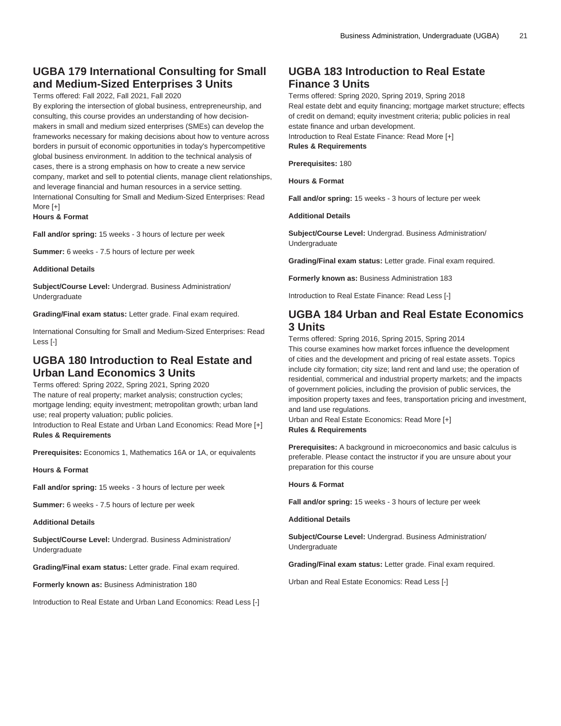# **UGBA 179 International Consulting for Small and Medium-Sized Enterprises 3 Units**

Terms offered: Fall 2022, Fall 2021, Fall 2020

By exploring the intersection of global business, entrepreneurship, and consulting, this course provides an understanding of how decisionmakers in small and medium sized enterprises (SMEs) can develop the frameworks necessary for making decisions about how to venture across borders in pursuit of economic opportunities in today's hypercompetitive global business environment. In addition to the technical analysis of cases, there is a strong emphasis on how to create a new service company, market and sell to potential clients, manage client relationships, and leverage financial and human resources in a service setting. International Consulting for Small and Medium-Sized Enterprises: Read More [+]

**Hours & Format**

**Fall and/or spring:** 15 weeks - 3 hours of lecture per week

**Summer:** 6 weeks - 7.5 hours of lecture per week

#### **Additional Details**

**Subject/Course Level:** Undergrad. Business Administration/ Undergraduate

**Grading/Final exam status:** Letter grade. Final exam required.

International Consulting for Small and Medium-Sized Enterprises: Read Less [-]

# **UGBA 180 Introduction to Real Estate and Urban Land Economics 3 Units**

Terms offered: Spring 2022, Spring 2021, Spring 2020 The nature of real property; market analysis; construction cycles; mortgage lending; equity investment; metropolitan growth; urban land use; real property valuation; public policies.

Introduction to Real Estate and Urban Land Economics: Read More [+] **Rules & Requirements**

**Prerequisites:** Economics 1, Mathematics 16A or 1A, or equivalents

**Hours & Format**

**Fall and/or spring:** 15 weeks - 3 hours of lecture per week

**Summer:** 6 weeks - 7.5 hours of lecture per week

**Additional Details**

**Subject/Course Level:** Undergrad. Business Administration/ Undergraduate

**Grading/Final exam status:** Letter grade. Final exam required.

**Formerly known as:** Business Administration 180

Introduction to Real Estate and Urban Land Economics: Read Less [-]

# **UGBA 183 Introduction to Real Estate Finance 3 Units**

Terms offered: Spring 2020, Spring 2019, Spring 2018 Real estate debt and equity financing; mortgage market structure; effects of credit on demand; equity investment criteria; public policies in real estate finance and urban development.

Introduction to Real Estate Finance: Read More [+]

### **Rules & Requirements**

**Prerequisites:** 180

**Hours & Format**

**Fall and/or spring:** 15 weeks - 3 hours of lecture per week

**Additional Details**

**Subject/Course Level:** Undergrad. Business Administration/ Undergraduate

**Grading/Final exam status:** Letter grade. Final exam required.

**Formerly known as:** Business Administration 183

Introduction to Real Estate Finance: Read Less [-]

### **UGBA 184 Urban and Real Estate Economics 3 Units**

Terms offered: Spring 2016, Spring 2015, Spring 2014 This course examines how market forces influence the development

of cities and the development and pricing of real estate assets. Topics include city formation; city size; land rent and land use; the operation of residential, commerical and industrial property markets; and the impacts of government policies, including the provision of public services, the imposition property taxes and fees, transportation pricing and investment, and land use regulations.

Urban and Real Estate Economics: Read More [+] **Rules & Requirements**

**Prerequisites:** A background in microeconomics and basic calculus is preferable. Please contact the instructor if you are unsure about your preparation for this course

**Hours & Format**

**Fall and/or spring:** 15 weeks - 3 hours of lecture per week

**Additional Details**

**Subject/Course Level:** Undergrad. Business Administration/ Undergraduate

**Grading/Final exam status:** Letter grade. Final exam required.

Urban and Real Estate Economics: Read Less [-]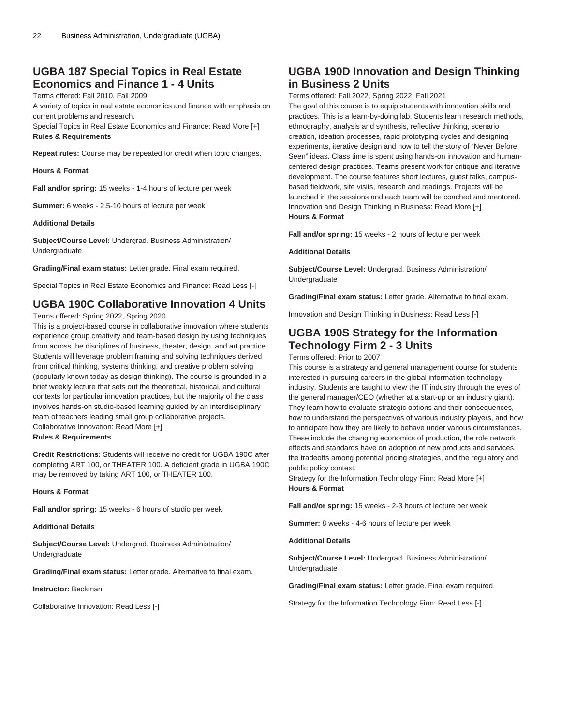# **UGBA 187 Special Topics in Real Estate Economics and Finance 1 - 4 Units**

Terms offered: Fall 2010, Fall 2009

A variety of topics in real estate economics and finance with emphasis on current problems and research.

Special Topics in Real Estate Economics and Finance: Read More [+] **Rules & Requirements**

**Repeat rules:** Course may be repeated for credit when topic changes.

**Hours & Format**

**Fall and/or spring:** 15 weeks - 1-4 hours of lecture per week

**Summer:** 6 weeks - 2.5-10 hours of lecture per week

### **Additional Details**

**Subject/Course Level:** Undergrad. Business Administration/ Undergraduate

**Grading/Final exam status:** Letter grade. Final exam required.

Special Topics in Real Estate Economics and Finance: Read Less [-]

# **UGBA 190C Collaborative Innovation 4 Units**

Terms offered: Spring 2022, Spring 2020

This is a project-based course in collaborative innovation where students experience group creativity and team-based design by using techniques from across the disciplines of business, theater, design, and art practice. Students will leverage problem framing and solving techniques derived from critical thinking, systems thinking, and creative problem solving (popularly known today as design thinking). The course is grounded in a brief weekly lecture that sets out the theoretical, historical, and cultural contexts for particular innovation practices, but the majority of the class involves hands-on studio-based learning guided by an interdisciplinary team of teachers leading small group collaborative projects. Collaborative Innovation: Read More [+] **Rules & Requirements**

**Credit Restrictions:** Students will receive no credit for [UGBA 190C](/search/?P=UGBA%20190C) after completing [ART 100](/search/?P=ART%20100), or [THEATER 100](/search/?P=THEATER%20100). A deficient grade in [UGBA 190C](/search/?P=UGBA%20190C) may be removed by taking [ART 100,](/search/?P=ART%20100) or [THEATER 100](/search/?P=THEATER%20100).

#### **Hours & Format**

**Fall and/or spring:** 15 weeks - 6 hours of studio per week

#### **Additional Details**

**Subject/Course Level:** Undergrad. Business Administration/ Undergraduate

**Grading/Final exam status:** Letter grade. Alternative to final exam.

**Instructor:** Beckman

Collaborative Innovation: Read Less [-]

# **UGBA 190D Innovation and Design Thinking in Business 2 Units**

Terms offered: Fall 2022, Spring 2022, Fall 2021

The goal of this course is to equip students with innovation skills and practices. This is a learn-by-doing lab. Students learn research methods, ethnography, analysis and synthesis, reflective thinking, scenario creation, ideation processes, rapid prototyping cycles and designing experiments, iterative design and how to tell the story of "Never Before Seen" ideas. Class time is spent using hands-on innovation and humancentered design practices. Teams present work for critique and iterative development. The course features short lectures, guest talks, campusbased fieldwork, site visits, research and readings. Projects will be launched in the sessions and each team will be coached and mentored. Innovation and Design Thinking in Business: Read More [+] **Hours & Format**

**Fall and/or spring:** 15 weeks - 2 hours of lecture per week

**Additional Details**

**Subject/Course Level:** Undergrad. Business Administration/ Undergraduate

**Grading/Final exam status:** Letter grade. Alternative to final exam.

Innovation and Design Thinking in Business: Read Less [-]

# **UGBA 190S Strategy for the Information Technology Firm 2 - 3 Units**

Terms offered: Prior to 2007

This course is a strategy and general management course for students interested in pursuing careers in the global information technology industry. Students are taught to view the IT industry through the eyes of the general manager/CEO (whether at a start-up or an industry giant). They learn how to evaluate strategic options and their consequences, how to understand the perspectives of various industry players, and how to anticipate how they are likely to behave under various circumstances. These include the changing economics of production, the role network effects and standards have on adoption of new products and services, the tradeoffs among potential pricing strategies, and the regulatory and public policy context.

Strategy for the Information Technology Firm: Read More [+] **Hours & Format**

**Fall and/or spring:** 15 weeks - 2-3 hours of lecture per week

**Summer:** 8 weeks - 4-6 hours of lecture per week

**Additional Details**

**Subject/Course Level:** Undergrad. Business Administration/ Undergraduate

**Grading/Final exam status:** Letter grade. Final exam required.

Strategy for the Information Technology Firm: Read Less [-]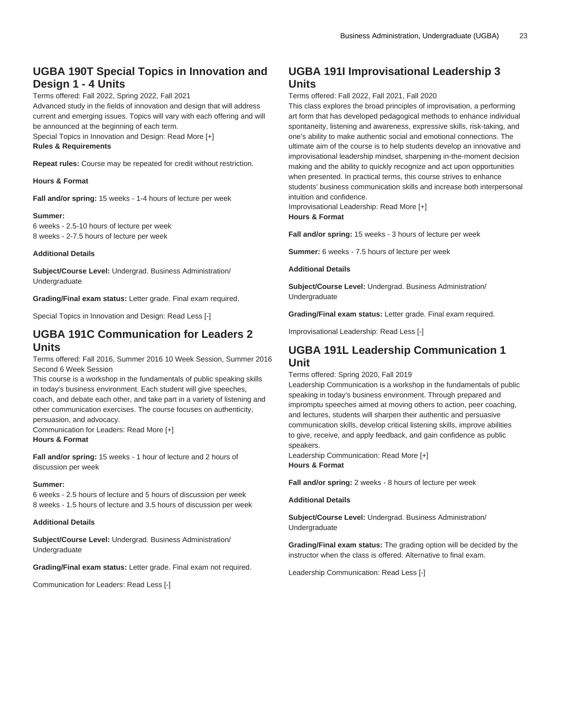# **UGBA 190T Special Topics in Innovation and Design 1 - 4 Units**

Terms offered: Fall 2022, Spring 2022, Fall 2021

Advanced study in the fields of innovation and design that will address current and emerging issues. Topics will vary with each offering and will be announced at the beginning of each term.

Special Topics in Innovation and Design: Read More [+]

### **Rules & Requirements**

**Repeat rules:** Course may be repeated for credit without restriction.

### **Hours & Format**

**Fall and/or spring:** 15 weeks - 1-4 hours of lecture per week

### **Summer:**

6 weeks - 2.5-10 hours of lecture per week 8 weeks - 2-7.5 hours of lecture per week

### **Additional Details**

**Subject/Course Level:** Undergrad. Business Administration/ Undergraduate

**Grading/Final exam status:** Letter grade. Final exam required.

Special Topics in Innovation and Design: Read Less [-]

# **UGBA 191C Communication for Leaders 2 Units**

Terms offered: Fall 2016, Summer 2016 10 Week Session, Summer 2016 Second 6 Week Session

This course is a workshop in the fundamentals of public speaking skills in today's business environment. Each student will give speeches, coach, and debate each other, and take part in a variety of listening and other communication exercises. The course focuses on authenticity, persuasion, and advocacy.

Communication for Leaders: Read More [+] **Hours & Format**

**Fall and/or spring:** 15 weeks - 1 hour of lecture and 2 hours of discussion per week

### **Summer:**

6 weeks - 2.5 hours of lecture and 5 hours of discussion per week 8 weeks - 1.5 hours of lecture and 3.5 hours of discussion per week

### **Additional Details**

**Subject/Course Level:** Undergrad. Business Administration/ Undergraduate

**Grading/Final exam status:** Letter grade. Final exam not required.

Communication for Leaders: Read Less [-]

# **UGBA 191I Improvisational Leadership 3 Units**

Terms offered: Fall 2022, Fall 2021, Fall 2020

This class explores the broad principles of improvisation, a performing art form that has developed pedagogical methods to enhance individual spontaneity, listening and awareness, expressive skills, risk-taking, and one's ability to make authentic social and emotional connections. The ultimate aim of the course is to help students develop an innovative and improvisational leadership mindset, sharpening in-the-moment decision making and the ability to quickly recognize and act upon opportunities when presented. In practical terms, this course strives to enhance students' business communication skills and increase both interpersonal intuition and confidence.

Improvisational Leadership: Read More [+] **Hours & Format**

**Fall and/or spring:** 15 weeks - 3 hours of lecture per week

**Summer:** 6 weeks - 7.5 hours of lecture per week

#### **Additional Details**

**Subject/Course Level:** Undergrad. Business Administration/ Undergraduate

**Grading/Final exam status:** Letter grade. Final exam required.

Improvisational Leadership: Read Less [-]

### **UGBA 191L Leadership Communication 1 Unit**

Terms offered: Spring 2020, Fall 2019

Leadership Communication is a workshop in the fundamentals of public speaking in today's business environment. Through prepared and impromptu speeches aimed at moving others to action, peer coaching, and lectures, students will sharpen their authentic and persuasive communication skills, develop critical listening skills, improve abilities to give, receive, and apply feedback, and gain confidence as public speakers.

Leadership Communication: Read More [+] **Hours & Format**

**Fall and/or spring:** 2 weeks - 8 hours of lecture per week

### **Additional Details**

**Subject/Course Level:** Undergrad. Business Administration/ Undergraduate

**Grading/Final exam status:** The grading option will be decided by the instructor when the class is offered. Alternative to final exam.

Leadership Communication: Read Less [-]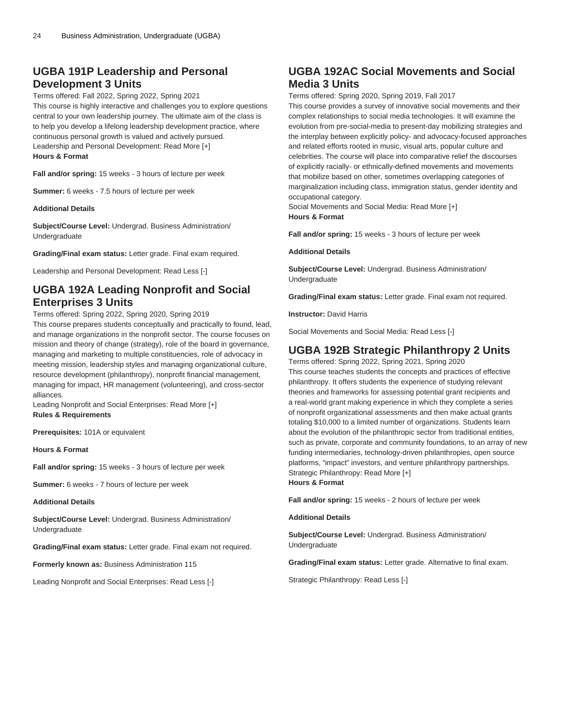# **UGBA 191P Leadership and Personal Development 3 Units**

Terms offered: Fall 2022, Spring 2022, Spring 2021

This course is highly interactive and challenges you to explore questions central to your own leadership journey. The ultimate aim of the class is to help you develop a lifelong leadership development practice, where continuous personal growth is valued and actively pursued. Leadership and Personal Development: Read More [+] **Hours & Format**

**Fall and/or spring:** 15 weeks - 3 hours of lecture per week

**Summer:** 6 weeks - 7.5 hours of lecture per week

#### **Additional Details**

**Subject/Course Level:** Undergrad. Business Administration/ Undergraduate

**Grading/Final exam status:** Letter grade. Final exam required.

Leadership and Personal Development: Read Less [-]

# **UGBA 192A Leading Nonprofit and Social Enterprises 3 Units**

Terms offered: Spring 2022, Spring 2020, Spring 2019

This course prepares students conceptually and practically to found, lead, and manage organizations in the nonprofit sector. The course focuses on mission and theory of change (strategy), role of the board in governance, managing and marketing to multiple constituencies, role of advocacy in meeting mission, leadership styles and managing organizational culture, resource development (philanthropy), nonprofit financial management, managing for impact, HR management (volunteering), and cross-sector alliances.

Leading Nonprofit and Social Enterprises: Read More [+] **Rules & Requirements**

**Prerequisites:** 101A or equivalent

**Hours & Format**

**Fall and/or spring:** 15 weeks - 3 hours of lecture per week

**Summer:** 6 weeks - 7 hours of lecture per week

**Additional Details**

**Subject/Course Level:** Undergrad. Business Administration/ Undergraduate

**Grading/Final exam status:** Letter grade. Final exam not required.

**Formerly known as:** Business Administration 115

Leading Nonprofit and Social Enterprises: Read Less [-]

# **UGBA 192AC Social Movements and Social Media 3 Units**

Terms offered: Spring 2020, Spring 2019, Fall 2017

This course provides a survey of innovative social movements and their complex relationships to social media technologies. It will examine the evolution from pre-social-media to present-day mobilizing strategies and the interplay between explicitly policy- and advocacy-focused approaches and related efforts rooted in music, visual arts, popular culture and celebrities. The course will place into comparative relief the discourses of explicitly racially- or ethnically-defined movements and movements that mobilize based on other, sometimes overlapping categories of marginalization including class, immigration status, gender identity and occupational category.

Social Movements and Social Media: Read More [+] **Hours & Format**

**Fall and/or spring:** 15 weeks - 3 hours of lecture per week

**Additional Details**

**Subject/Course Level:** Undergrad. Business Administration/ Undergraduate

**Grading/Final exam status:** Letter grade. Final exam not required.

**Instructor:** David Harris

Social Movements and Social Media: Read Less [-]

### **UGBA 192B Strategic Philanthropy 2 Units**

Terms offered: Spring 2022, Spring 2021, Spring 2020 This course teaches students the concepts and practices of effective philanthropy. It offers students the experience of studying relevant theories and frameworks for assessing potential grant recipients and a real-world grant making experience in which they complete a series of nonprofit organizational assessments and then make actual grants totaling \$10,000 to a limited number of organizations. Students learn about the evolution of the philanthropic sector from traditional entities, such as private, corporate and community foundations, to an array of new funding intermediaries, technology-driven philanthropies, open source platforms, "impact" investors, and venture philanthropy partnerships. Strategic Philanthropy: Read More [+] **Hours & Format**

**Fall and/or spring:** 15 weeks - 2 hours of lecture per week

**Additional Details**

**Subject/Course Level:** Undergrad. Business Administration/ Undergraduate

**Grading/Final exam status:** Letter grade. Alternative to final exam.

Strategic Philanthropy: Read Less [-]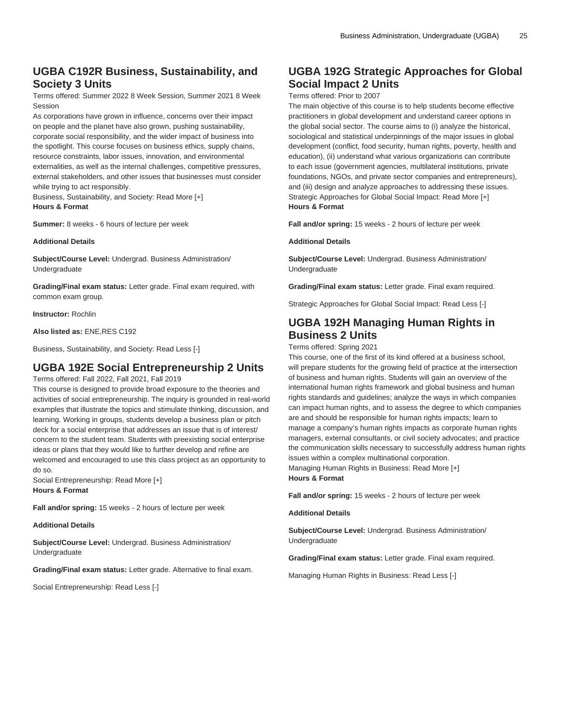# **UGBA C192R Business, Sustainability, and Society 3 Units**

Terms offered: Summer 2022 8 Week Session, Summer 2021 8 Week Session

As corporations have grown in influence, concerns over their impact on people and the planet have also grown, pushing sustainability, corporate social responsibility, and the wider impact of business into the spotlight. This course focuses on business ethics, supply chains, resource constraints, labor issues, innovation, and environmental externalities, as well as the internal challenges, competitive pressures, external stakeholders, and other issues that businesses must consider while trying to act responsibly.

Business, Sustainability, and Society: Read More [+] **Hours & Format**

**Summer:** 8 weeks - 6 hours of lecture per week

#### **Additional Details**

**Subject/Course Level:** Undergrad. Business Administration/ Undergraduate

**Grading/Final exam status:** Letter grade. Final exam required, with common exam group.

**Instructor:** Rochlin

**Also listed as:** ENE,RES C192

Business, Sustainability, and Society: Read Less [-]

# **UGBA 192E Social Entrepreneurship 2 Units**

Terms offered: Fall 2022, Fall 2021, Fall 2019

This course is designed to provide broad exposure to the theories and activities of social entrepreneurship. The inquiry is grounded in real-world examples that illustrate the topics and stimulate thinking, discussion, and learning. Working in groups, students develop a business plan or pitch deck for a social enterprise that addresses an issue that is of interest/ concern to the student team. Students with preexisting social enterprise ideas or plans that they would like to further develop and refine are welcomed and encouraged to use this class project as an opportunity to do so.

Social Entrepreneurship: Read More [+] **Hours & Format**

**Fall and/or spring:** 15 weeks - 2 hours of lecture per week

#### **Additional Details**

**Subject/Course Level:** Undergrad. Business Administration/ Undergraduate

**Grading/Final exam status:** Letter grade. Alternative to final exam.

Social Entrepreneurship: Read Less [-]

# **UGBA 192G Strategic Approaches for Global Social Impact 2 Units**

### Terms offered: Prior to 2007

The main objective of this course is to help students become effective practitioners in global development and understand career options in the global social sector. The course aims to (i) analyze the historical, sociological and statistical underpinnings of the major issues in global development (conflict, food security, human rights, poverty, health and education), (ii) understand what various organizations can contribute to each issue (government agencies, multilateral institutions, private foundations, NGOs, and private sector companies and entrepreneurs), and (iii) design and analyze approaches to addressing these issues. Strategic Approaches for Global Social Impact: Read More [+] **Hours & Format**

**Fall and/or spring:** 15 weeks - 2 hours of lecture per week

#### **Additional Details**

**Subject/Course Level:** Undergrad. Business Administration/ Undergraduate

**Grading/Final exam status:** Letter grade. Final exam required.

Strategic Approaches for Global Social Impact: Read Less [-]

# **UGBA 192H Managing Human Rights in Business 2 Units**

### Terms offered: Spring 2021

This course, one of the first of its kind offered at a business school, will prepare students for the growing field of practice at the intersection of business and human rights. Students will gain an overview of the international human rights framework and global business and human rights standards and guidelines; analyze the ways in which companies can impact human rights, and to assess the degree to which companies are and should be responsible for human rights impacts; learn to manage a company's human rights impacts as corporate human rights managers, external consultants, or civil society advocates; and practice the communication skills necessary to successfully address human rights issues within a complex multinational corporation.

Managing Human Rights in Business: Read More [+] **Hours & Format**

**Fall and/or spring:** 15 weeks - 2 hours of lecture per week

### **Additional Details**

**Subject/Course Level:** Undergrad. Business Administration/ Undergraduate

**Grading/Final exam status:** Letter grade. Final exam required.

Managing Human Rights in Business: Read Less [-]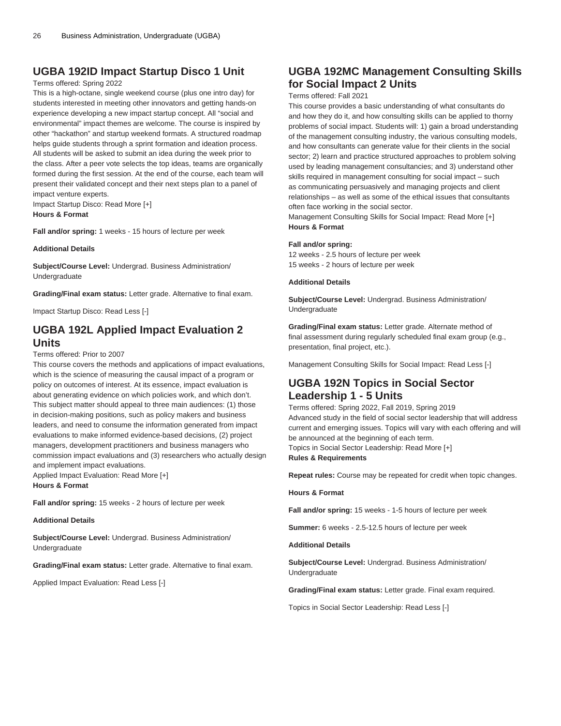### **UGBA 192ID Impact Startup Disco 1 Unit**

### Terms offered: Spring 2022

This is a high-octane, single weekend course (plus one intro day) for students interested in meeting other innovators and getting hands-on experience developing a new impact startup concept. All "social and environmental" impact themes are welcome. The course is inspired by other "hackathon" and startup weekend formats. A structured roadmap helps guide students through a sprint formation and ideation process. All students will be asked to submit an idea during the week prior to the class. After a peer vote selects the top ideas, teams are organically formed during the first session. At the end of the course, each team will present their validated concept and their next steps plan to a panel of impact venture experts.

Impact Startup Disco: Read More [+] **Hours & Format**

**Fall and/or spring:** 1 weeks - 15 hours of lecture per week

**Additional Details**

**Subject/Course Level:** Undergrad. Business Administration/ Undergraduate

**Grading/Final exam status:** Letter grade. Alternative to final exam.

Impact Startup Disco: Read Less [-]

# **UGBA 192L Applied Impact Evaluation 2 Units**

### Terms offered: Prior to 2007

This course covers the methods and applications of impact evaluations, which is the science of measuring the causal impact of a program or policy on outcomes of interest. At its essence, impact evaluation is about generating evidence on which policies work, and which don't. This subject matter should appeal to three main audiences: (1) those in decision-making positions, such as policy makers and business leaders, and need to consume the information generated from impact evaluations to make informed evidence-based decisions, (2) project managers, development practitioners and business managers who commission impact evaluations and (3) researchers who actually design and implement impact evaluations.

Applied Impact Evaluation: Read More [+] **Hours & Format**

**Fall and/or spring:** 15 weeks - 2 hours of lecture per week

#### **Additional Details**

**Subject/Course Level:** Undergrad. Business Administration/ Undergraduate

**Grading/Final exam status:** Letter grade. Alternative to final exam.

Applied Impact Evaluation: Read Less [-]

# **UGBA 192MC Management Consulting Skills for Social Impact 2 Units**

### Terms offered: Fall 2021

This course provides a basic understanding of what consultants do and how they do it, and how consulting skills can be applied to thorny problems of social impact. Students will: 1) gain a broad understanding of the management consulting industry, the various consulting models, and how consultants can generate value for their clients in the social sector; 2) learn and practice structured approaches to problem solving used by leading management consultancies; and 3) understand other skills required in management consulting for social impact – such as communicating persuasively and managing projects and client relationships – as well as some of the ethical issues that consultants often face working in the social sector.

Management Consulting Skills for Social Impact: Read More [+] **Hours & Format**

#### **Fall and/or spring:**

12 weeks - 2.5 hours of lecture per week 15 weeks - 2 hours of lecture per week

#### **Additional Details**

**Subject/Course Level:** Undergrad. Business Administration/ Undergraduate

**Grading/Final exam status:** Letter grade. Alternate method of final assessment during regularly scheduled final exam group (e.g., presentation, final project, etc.).

Management Consulting Skills for Social Impact: Read Less [-]

### **UGBA 192N Topics in Social Sector Leadership 1 - 5 Units**

Terms offered: Spring 2022, Fall 2019, Spring 2019 Advanced study in the field of social sector leadership that will address current and emerging issues. Topics will vary with each offering and will be announced at the beginning of each term. Topics in Social Sector Leadership: Read More [+] **Rules & Requirements**

**Repeat rules:** Course may be repeated for credit when topic changes.

#### **Hours & Format**

**Fall and/or spring:** 15 weeks - 1-5 hours of lecture per week

**Summer:** 6 weeks - 2.5-12.5 hours of lecture per week

### **Additional Details**

**Subject/Course Level:** Undergrad. Business Administration/ Undergraduate

**Grading/Final exam status:** Letter grade. Final exam required.

Topics in Social Sector Leadership: Read Less [-]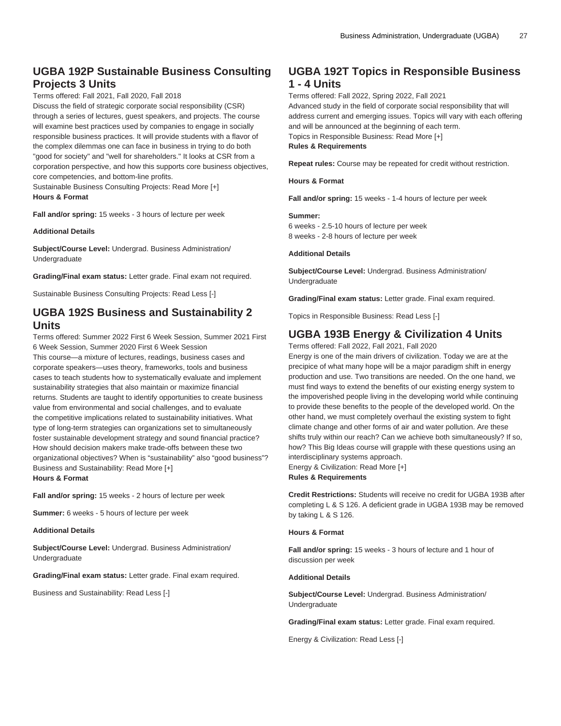# **UGBA 192P Sustainable Business Consulting Projects 3 Units**

Terms offered: Fall 2021, Fall 2020, Fall 2018

Discuss the field of strategic corporate social responsibility (CSR) through a series of lectures, guest speakers, and projects. The course will examine best practices used by companies to engage in socially responsible business practices. It will provide students with a flavor of the complex dilemmas one can face in business in trying to do both "good for society" and "well for shareholders." It looks at CSR from a corporation perspective, and how this supports core business objectives, core competencies, and bottom-line profits.

Sustainable Business Consulting Projects: Read More [+] **Hours & Format**

**Fall and/or spring:** 15 weeks - 3 hours of lecture per week

**Additional Details**

**Subject/Course Level:** Undergrad. Business Administration/ Undergraduate

**Grading/Final exam status:** Letter grade. Final exam not required.

Sustainable Business Consulting Projects: Read Less [-]

# **UGBA 192S Business and Sustainability 2 Units**

Terms offered: Summer 2022 First 6 Week Session, Summer 2021 First 6 Week Session, Summer 2020 First 6 Week Session

This course—a mixture of lectures, readings, business cases and corporate speakers—uses theory, frameworks, tools and business cases to teach students how to systematically evaluate and implement sustainability strategies that also maintain or maximize financial returns. Students are taught to identify opportunities to create business value from environmental and social challenges, and to evaluate the competitive implications related to sustainability initiatives. What type of long-term strategies can organizations set to simultaneously foster sustainable development strategy and sound financial practice? How should decision makers make trade-offs between these two organizational objectives? When is "sustainability" also "good business"? Business and Sustainability: Read More [+] **Hours & Format**

**Fall and/or spring:** 15 weeks - 2 hours of lecture per week

**Summer:** 6 weeks - 5 hours of lecture per week

**Additional Details**

**Subject/Course Level:** Undergrad. Business Administration/ Undergraduate

**Grading/Final exam status:** Letter grade. Final exam required.

Business and Sustainability: Read Less [-]

# **UGBA 192T Topics in Responsible Business 1 - 4 Units**

Terms offered: Fall 2022, Spring 2022, Fall 2021

Advanced study in the field of corporate social responsibility that will address current and emerging issues. Topics will vary with each offering and will be announced at the beginning of each term. Topics in Responsible Business: Read More [+]

**Rules & Requirements**

**Repeat rules:** Course may be repeated for credit without restriction.

**Hours & Format**

**Fall and/or spring:** 15 weeks - 1-4 hours of lecture per week

#### **Summer:**

6 weeks - 2.5-10 hours of lecture per week 8 weeks - 2-8 hours of lecture per week

**Additional Details**

**Subject/Course Level:** Undergrad. Business Administration/ Undergraduate

**Grading/Final exam status:** Letter grade. Final exam required.

Topics in Responsible Business: Read Less [-]

# **UGBA 193B Energy & Civilization 4 Units**

Terms offered: Fall 2022, Fall 2021, Fall 2020

Energy is one of the main drivers of civilization. Today we are at the precipice of what many hope will be a major paradigm shift in energy production and use. Two transitions are needed. On the one hand, we must find ways to extend the benefits of our existing energy system to the impoverished people living in the developing world while continuing to provide these benefits to the people of the developed world. On the other hand, we must completely overhaul the existing system to fight climate change and other forms of air and water pollution. Are these shifts truly within our reach? Can we achieve both simultaneously? If so, how? This Big Ideas course will grapple with these questions using an interdisciplinary systems approach. Energy & Civilization: Read More [+]

**Rules & Requirements**

**Credit Restrictions:** Students will receive no credit for [UGBA 193B](/search/?P=UGBA%20193B) after completing L & S 126. A deficient grade in [UGBA 193B](/search/?P=UGBA%20193B) may be removed by taking L & S 126.

### **Hours & Format**

**Fall and/or spring:** 15 weeks - 3 hours of lecture and 1 hour of discussion per week

### **Additional Details**

**Subject/Course Level:** Undergrad. Business Administration/ Undergraduate

**Grading/Final exam status:** Letter grade. Final exam required.

Energy & Civilization: Read Less [-]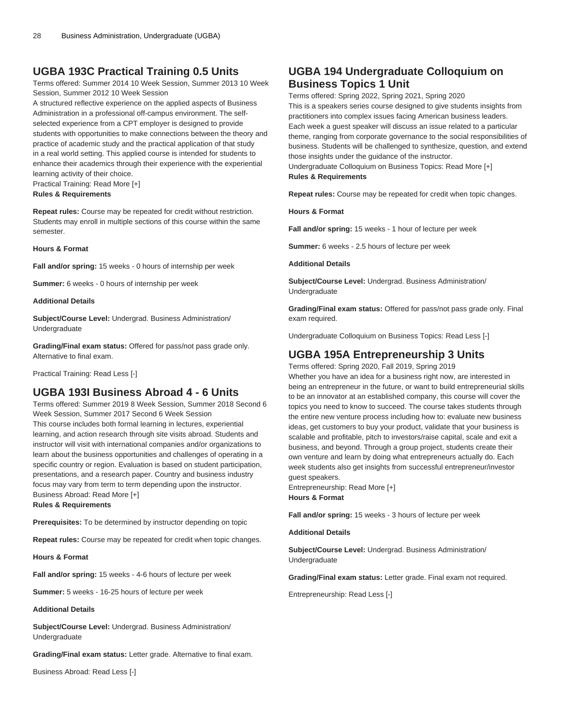# **UGBA 193C Practical Training 0.5 Units**

Terms offered: Summer 2014 10 Week Session, Summer 2013 10 Week Session, Summer 2012 10 Week Session

A structured reflective experience on the applied aspects of Business Administration in a professional off-campus environment. The selfselected experience from a CPT employer is designed to provide students with opportunities to make connections between the theory and practice of academic study and the practical application of that study in a real world setting. This applied course is intended for students to enhance their academics through their experience with the experiential learning activity of their choice.

Practical Training: Read More [+]

### **Rules & Requirements**

**Repeat rules:** Course may be repeated for credit without restriction. Students may enroll in multiple sections of this course within the same semester.

#### **Hours & Format**

**Fall and/or spring:** 15 weeks - 0 hours of internship per week

**Summer:** 6 weeks - 0 hours of internship per week

### **Additional Details**

**Subject/Course Level:** Undergrad. Business Administration/ Undergraduate

**Grading/Final exam status:** Offered for pass/not pass grade only. Alternative to final exam.

Practical Training: Read Less [-]

### **UGBA 193I Business Abroad 4 - 6 Units**

Terms offered: Summer 2019 8 Week Session, Summer 2018 Second 6 Week Session, Summer 2017 Second 6 Week Session This course includes both formal learning in lectures, experiential learning, and action research through site visits abroad. Students and instructor will visit with international companies and/or organizations to learn about the business opportunities and challenges of operating in a specific country or region. Evaluation is based on student participation, presentations, and a research paper. Country and business industry focus may vary from term to term depending upon the instructor. Business Abroad: Read More [+]

**Rules & Requirements**

**Prerequisites:** To be determined by instructor depending on topic

**Repeat rules:** Course may be repeated for credit when topic changes.

**Hours & Format**

**Fall and/or spring:** 15 weeks - 4-6 hours of lecture per week

**Summer:** 5 weeks - 16-25 hours of lecture per week

#### **Additional Details**

**Subject/Course Level:** Undergrad. Business Administration/ Undergraduate

**Grading/Final exam status:** Letter grade. Alternative to final exam.

Business Abroad: Read Less [-]

# **UGBA 194 Undergraduate Colloquium on Business Topics 1 Unit**

Terms offered: Spring 2022, Spring 2021, Spring 2020 This is a speakers series course designed to give students insights from practitioners into complex issues facing American business leaders. Each week a guest speaker will discuss an issue related to a particular theme, ranging from corporate governance to the social responsibilities of business. Students will be challenged to synthesize, question, and extend those insights under the guidance of the instructor.

Undergraduate Colloquium on Business Topics: Read More [+] **Rules & Requirements**

**Repeat rules:** Course may be repeated for credit when topic changes.

**Hours & Format**

**Fall and/or spring:** 15 weeks - 1 hour of lecture per week

**Summer:** 6 weeks - 2.5 hours of lecture per week

**Additional Details**

**Subject/Course Level:** Undergrad. Business Administration/ Undergraduate

**Grading/Final exam status:** Offered for pass/not pass grade only. Final exam required.

Undergraduate Colloquium on Business Topics: Read Less [-]

# **UGBA 195A Entrepreneurship 3 Units**

Terms offered: Spring 2020, Fall 2019, Spring 2019

Whether you have an idea for a business right now, are interested in being an entrepreneur in the future, or want to build entrepreneurial skills to be an innovator at an established company, this course will cover the topics you need to know to succeed. The course takes students through the entire new venture process including how to: evaluate new business ideas, get customers to buy your product, validate that your business is scalable and profitable, pitch to investors/raise capital, scale and exit a business, and beyond. Through a group project, students create their own venture and learn by doing what entrepreneurs actually do. Each week students also get insights from successful entrepreneur/investor guest speakers.

Entrepreneurship: Read More [+] **Hours & Format**

**Fall and/or spring:** 15 weeks - 3 hours of lecture per week

**Additional Details**

**Subject/Course Level:** Undergrad. Business Administration/ Undergraduate

**Grading/Final exam status:** Letter grade. Final exam not required.

Entrepreneurship: Read Less [-]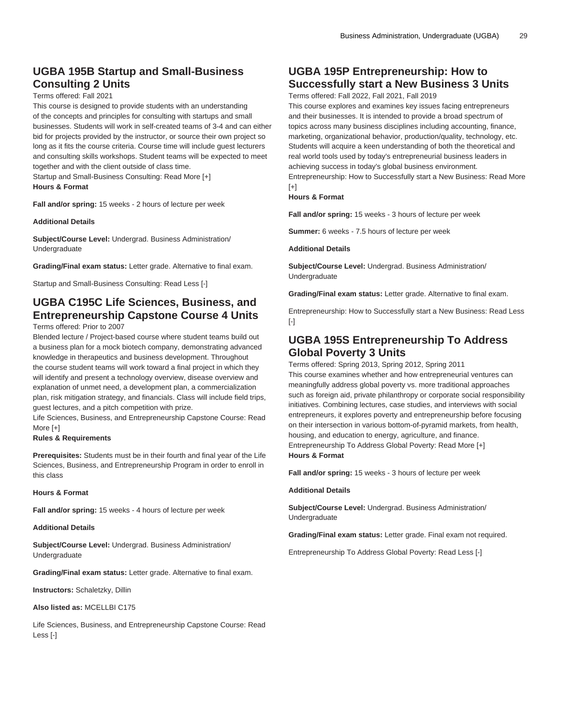# **UGBA 195B Startup and Small-Business Consulting 2 Units**

### Terms offered: Fall 2021

This course is designed to provide students with an understanding of the concepts and principles for consulting with startups and small businesses. Students will work in self-created teams of 3-4 and can either bid for projects provided by the instructor, or source their own project so long as it fits the course criteria. Course time will include guest lecturers and consulting skills workshops. Student teams will be expected to meet together and with the client outside of class time.

Startup and Small-Business Consulting: Read More [+]

**Hours & Format**

**Fall and/or spring:** 15 weeks - 2 hours of lecture per week

**Additional Details**

**Subject/Course Level:** Undergrad. Business Administration/ Undergraduate

**Grading/Final exam status:** Letter grade. Alternative to final exam.

Startup and Small-Business Consulting: Read Less [-]

# **UGBA C195C Life Sciences, Business, and Entrepreneurship Capstone Course 4 Units**

Terms offered: Prior to 2007

Blended lecture / Project-based course where student teams build out a business plan for a mock biotech company, demonstrating advanced knowledge in therapeutics and business development. Throughout the course student teams will work toward a final project in which they will identify and present a technology overview, disease overview and explanation of unmet need, a development plan, a commercialization plan, risk mitigation strategy, and financials. Class will include field trips, guest lectures, and a pitch competition with prize.

Life Sciences, Business, and Entrepreneurship Capstone Course: Read More [+]

### **Rules & Requirements**

**Prerequisites:** Students must be in their fourth and final year of the Life Sciences, Business, and Entrepreneurship Program in order to enroll in this class

#### **Hours & Format**

**Fall and/or spring:** 15 weeks - 4 hours of lecture per week

#### **Additional Details**

**Subject/Course Level:** Undergrad. Business Administration/ Undergraduate

**Grading/Final exam status:** Letter grade. Alternative to final exam.

**Instructors:** Schaletzky, Dillin

#### **Also listed as:** MCELLBI C175

Life Sciences, Business, and Entrepreneurship Capstone Course: Read Less [-]

# **UGBA 195P Entrepreneurship: How to Successfully start a New Business 3 Units**

Terms offered: Fall 2022, Fall 2021, Fall 2019

This course explores and examines key issues facing entrepreneurs and their businesses. It is intended to provide a broad spectrum of topics across many business disciplines including accounting, finance, marketing, organizational behavior, production/quality, technology, etc. Students will acquire a keen understanding of both the theoretical and real world tools used by today's entrepreneurial business leaders in achieving success in today's global business environment. Entrepreneurship: How to Successfully start a New Business: Read More  $[+]$ 

### **Hours & Format**

**Fall and/or spring:** 15 weeks - 3 hours of lecture per week

**Summer:** 6 weeks - 7.5 hours of lecture per week

**Additional Details**

**Subject/Course Level:** Undergrad. Business Administration/ Undergraduate

**Grading/Final exam status:** Letter grade. Alternative to final exam.

Entrepreneurship: How to Successfully start a New Business: Read Less [-]

# **UGBA 195S Entrepreneurship To Address Global Poverty 3 Units**

Terms offered: Spring 2013, Spring 2012, Spring 2011 This course examines whether and how entrepreneurial ventures can meaningfully address global poverty vs. more traditional approaches such as foreign aid, private philanthropy or corporate social responsibility initiatives. Combining lectures, case studies, and interviews with social entrepreneurs, it explores poverty and entrepreneurship before focusing on their intersection in various bottom-of-pyramid markets, from health, housing, and education to energy, agriculture, and finance. Entrepreneurship To Address Global Poverty: Read More [+] **Hours & Format**

**Fall and/or spring:** 15 weeks - 3 hours of lecture per week

#### **Additional Details**

**Subject/Course Level:** Undergrad. Business Administration/ Undergraduate

**Grading/Final exam status:** Letter grade. Final exam not required.

Entrepreneurship To Address Global Poverty: Read Less [-]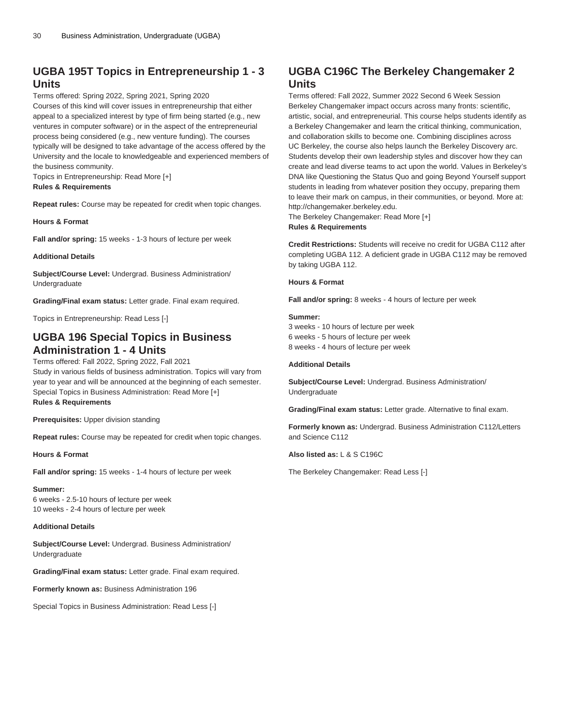# **UGBA 195T Topics in Entrepreneurship 1 - 3 Units**

Terms offered: Spring 2022, Spring 2021, Spring 2020

Courses of this kind will cover issues in entrepreneurship that either appeal to a specialized interest by type of firm being started (e.g., new ventures in computer software) or in the aspect of the entrepreneurial process being considered (e.g., new venture funding). The courses typically will be designed to take advantage of the access offered by the University and the locale to knowledgeable and experienced members of the business community.

Topics in Entrepreneurship: Read More [+] **Rules & Requirements**

**Repeat rules:** Course may be repeated for credit when topic changes.

**Hours & Format**

**Fall and/or spring:** 15 weeks - 1-3 hours of lecture per week

### **Additional Details**

**Subject/Course Level:** Undergrad. Business Administration/ Undergraduate

**Grading/Final exam status:** Letter grade. Final exam required.

Topics in Entrepreneurship: Read Less [-]

# **UGBA 196 Special Topics in Business Administration 1 - 4 Units**

Terms offered: Fall 2022, Spring 2022, Fall 2021

Study in various fields of business administration. Topics will vary from year to year and will be announced at the beginning of each semester. Special Topics in Business Administration: Read More [+] **Rules & Requirements**

**Prerequisites:** Upper division standing

**Repeat rules:** Course may be repeated for credit when topic changes.

**Hours & Format**

**Fall and/or spring:** 15 weeks - 1-4 hours of lecture per week

**Summer:**

6 weeks - 2.5-10 hours of lecture per week 10 weeks - 2-4 hours of lecture per week

#### **Additional Details**

**Subject/Course Level:** Undergrad. Business Administration/ Undergraduate

**Grading/Final exam status:** Letter grade. Final exam required.

**Formerly known as:** Business Administration 196

Special Topics in Business Administration: Read Less [-]

# **UGBA C196C The Berkeley Changemaker 2 Units**

Terms offered: Fall 2022, Summer 2022 Second 6 Week Session Berkeley Changemaker impact occurs across many fronts: scientific, artistic, social, and entrepreneurial. This course helps students identify as a Berkeley Changemaker and learn the critical thinking, communication, and collaboration skills to become one. Combining disciplines across UC Berkeley, the course also helps launch the Berkeley Discovery arc. Students develop their own leadership styles and discover how they can create and lead diverse teams to act upon the world. Values in Berkeley's DNA like Questioning the Status Quo and going Beyond Yourself support students in leading from whatever position they occupy, preparing them to leave their mark on campus, in their communities, or beyond. More at: http://changemaker.berkeley.edu.

The Berkeley Changemaker: Read More [+] **Rules & Requirements**

**Credit Restrictions:** Students will receive no credit for UGBA C112 after completing UGBA 112. A deficient grade in UGBA C112 may be removed by taking UGBA 112.

#### **Hours & Format**

**Fall and/or spring:** 8 weeks - 4 hours of lecture per week

### **Summer:**

3 weeks - 10 hours of lecture per week 6 weeks - 5 hours of lecture per week 8 weeks - 4 hours of lecture per week

#### **Additional Details**

**Subject/Course Level:** Undergrad. Business Administration/ Undergraduate

**Grading/Final exam status:** Letter grade. Alternative to final exam.

**Formerly known as:** Undergrad. Business Administration C112/Letters and Science C112

**Also listed as:** L & S C196C

The Berkeley Changemaker: Read Less [-]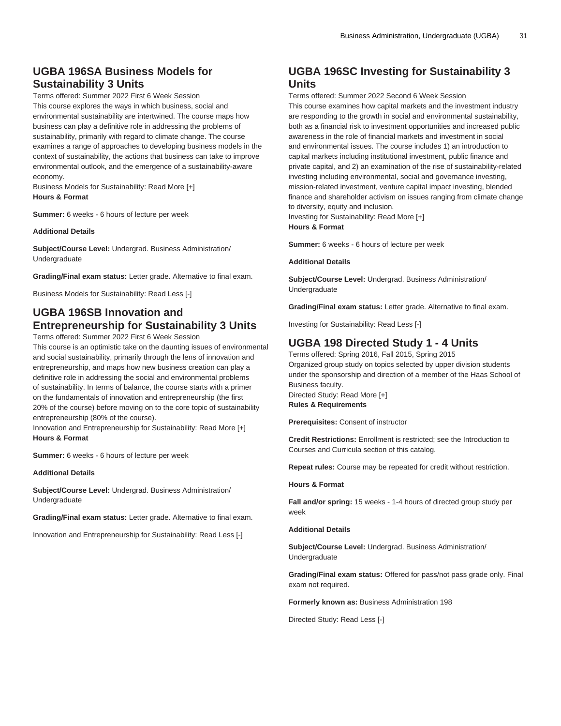# **UGBA 196SA Business Models for Sustainability 3 Units**

Terms offered: Summer 2022 First 6 Week Session This course explores the ways in which business, social and environmental sustainability are intertwined. The course maps how business can play a definitive role in addressing the problems of sustainability, primarily with regard to climate change. The course examines a range of approaches to developing business models in the context of sustainability, the actions that business can take to improve environmental outlook, and the emergence of a sustainability-aware economy.

Business Models for Sustainability: Read More [+] **Hours & Format**

**Summer:** 6 weeks - 6 hours of lecture per week

**Additional Details**

**Subject/Course Level:** Undergrad. Business Administration/ Undergraduate

**Grading/Final exam status:** Letter grade. Alternative to final exam.

Business Models for Sustainability: Read Less [-]

# **UGBA 196SB Innovation and Entrepreneurship for Sustainability 3 Units**

Terms offered: Summer 2022 First 6 Week Session

This course is an optimistic take on the daunting issues of environmental and social sustainability, primarily through the lens of innovation and entrepreneurship, and maps how new business creation can play a definitive role in addressing the social and environmental problems of sustainability. In terms of balance, the course starts with a primer on the fundamentals of innovation and entrepreneurship (the first 20% of the course) before moving on to the core topic of sustainability entrepreneurship (80% of the course).

Innovation and Entrepreneurship for Sustainability: Read More [+] **Hours & Format**

**Summer:** 6 weeks - 6 hours of lecture per week

**Additional Details**

**Subject/Course Level:** Undergrad. Business Administration/ Undergraduate

**Grading/Final exam status:** Letter grade. Alternative to final exam.

Innovation and Entrepreneurship for Sustainability: Read Less [-]

# **UGBA 196SC Investing for Sustainability 3 Units**

Terms offered: Summer 2022 Second 6 Week Session This course examines how capital markets and the investment industry are responding to the growth in social and environmental sustainability, both as a financial risk to investment opportunities and increased public awareness in the role of financial markets and investment in social and environmental issues. The course includes 1) an introduction to capital markets including institutional investment, public finance and private capital, and 2) an examination of the rise of sustainability-related investing including environmental, social and governance investing, mission-related investment, venture capital impact investing, blended finance and shareholder activism on issues ranging from climate change to diversity, equity and inclusion.

Investing for Sustainability: Read More [+] **Hours & Format**

**Summer:** 6 weeks - 6 hours of lecture per week

### **Additional Details**

**Subject/Course Level:** Undergrad. Business Administration/ Undergraduate

**Grading/Final exam status:** Letter grade. Alternative to final exam.

Investing for Sustainability: Read Less [-]

# **UGBA 198 Directed Study 1 - 4 Units**

Terms offered: Spring 2016, Fall 2015, Spring 2015 Organized group study on topics selected by upper division students under the sponsorship and direction of a member of the Haas School of Business faculty. Directed Study: Read More [+]

**Rules & Requirements**

**Prerequisites:** Consent of instructor

**Credit Restrictions:** Enrollment is restricted; see the Introduction to Courses and Curricula section of this catalog.

**Repeat rules:** Course may be repeated for credit without restriction.

### **Hours & Format**

**Fall and/or spring:** 15 weeks - 1-4 hours of directed group study per week

**Additional Details**

**Subject/Course Level:** Undergrad. Business Administration/ **Undergraduate** 

**Grading/Final exam status:** Offered for pass/not pass grade only. Final exam not required.

**Formerly known as:** Business Administration 198

Directed Study: Read Less [-]